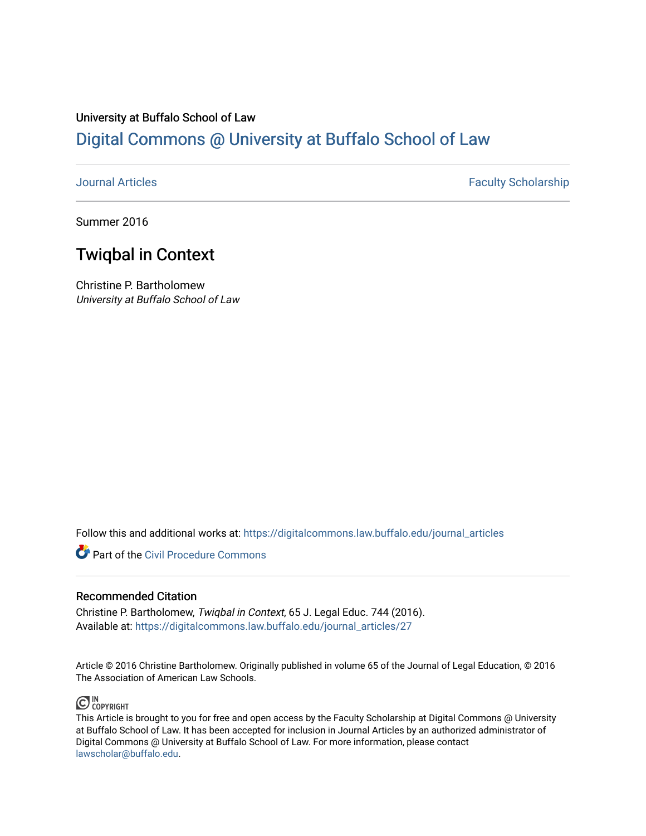### University at Buffalo School of Law [Digital Commons @ University at Buffalo School of Law](https://digitalcommons.law.buffalo.edu/)

[Journal Articles](https://digitalcommons.law.buffalo.edu/journal_articles) **Faculty Scholarship Faculty Scholarship** 

Summer 2016

## Twiqbal in Context

Christine P. Bartholomew University at Buffalo School of Law

Follow this and additional works at: [https://digitalcommons.law.buffalo.edu/journal\\_articles](https://digitalcommons.law.buffalo.edu/journal_articles?utm_source=digitalcommons.law.buffalo.edu%2Fjournal_articles%2F27&utm_medium=PDF&utm_campaign=PDFCoverPages) 

**C** Part of the Civil Procedure Commons

### Recommended Citation

Christine P. Bartholomew, Twiqbal in Context, 65 J. Legal Educ. 744 (2016). Available at: [https://digitalcommons.law.buffalo.edu/journal\\_articles/27](https://digitalcommons.law.buffalo.edu/journal_articles/27?utm_source=digitalcommons.law.buffalo.edu%2Fjournal_articles%2F27&utm_medium=PDF&utm_campaign=PDFCoverPages) 

Article © 2016 Christine Bartholomew. Originally published in volume 65 of the Journal of Legal Education, © 2016 The Association of American Law Schools.



This Article is brought to you for free and open access by the Faculty Scholarship at Digital Commons @ University at Buffalo School of Law. It has been accepted for inclusion in Journal Articles by an authorized administrator of Digital Commons @ University at Buffalo School of Law. For more information, please contact [lawscholar@buffalo.edu](mailto:lawscholar@buffalo.edu).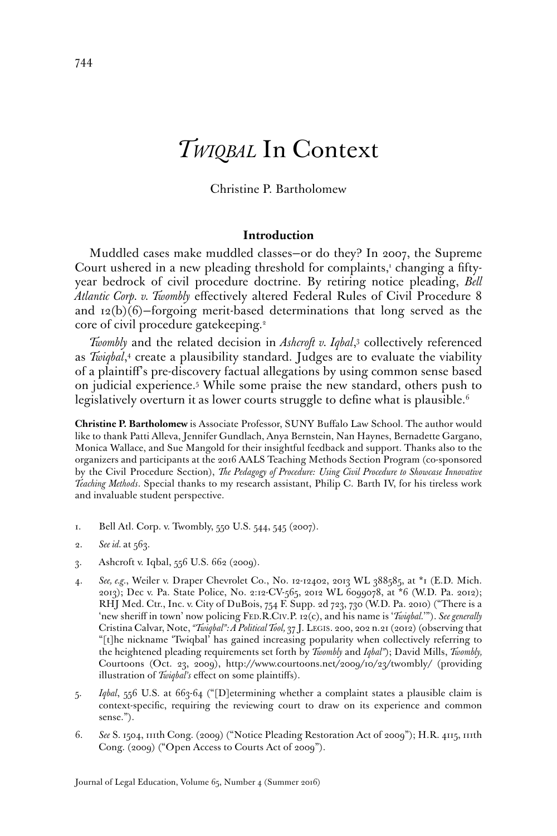# *TWIQBAL* In Context

#### Christine P. Bartholomew

#### **Introduction**

Muddled cases make muddled classes—or do they? In 2007, the Supreme Court ushered in a new pleading threshold for complaints,<sup>1</sup> changing a fiftyyear bedrock of civil procedure doctrine. By retiring notice pleading, *Bell Atlantic Corp. v. Twombly* efectively altered Federal Rules of Civil Procedure 8 and  $12(b)(6)$ -forgoing merit-based determinations that long served as the core of civil procedure gatekeeping.<sup>2</sup>

*Twombly* and the related decision in *Ashcroft v. Iqbal*, 3 collectively referenced as *Twiqbal*,<sup>4</sup> create a plausibility standard. Judges are to evaluate the viability of a plaintif's pre-discovery factual allegations by using common sense based on judicial experience.5 While some praise the new standard, others push to legislatively overturn it as lower courts struggle to define what is plausible.<sup>6</sup>

**Christine P. Bartholomew** is Associate Professor, SUNY Bufalo Law School. The author would like to thank Patti Alleva, Jennifer Gundlach, Anya Bernstein, Nan Haynes, Bernadette Gargano, Monica Wallace, and Sue Mangold for their insightful feedback and support. Thanks also to the organizers and participants at the 2016 AALS Teaching Methods Section Program (co-sponsored by the Civil Procedure Section), *The Pedagogy of Procedure: Using Civil Procedure to Showcase Innovative Teaching Methods*. Special thanks to my research assistant, Philip C. Barth IV, for his tireless work and invaluable student perspective.

- 1. Bell Atl. Corp. v. Twombly, 550 U.S. 544, 545 (2007).
- 2. *See id.* at 563.
- 3. Ashcroft v. Iqbal, 556 U.S. 662 (2009).
- 4. *See, e.g.*, Weiler v. Draper Chevrolet Co., No. 12-12402, 2013 WL 388585, at \*1 (E.D. Mich. 2013); Dec v. Pa. State Police, No. 2:12-CV-565, 2012 WL 6099078, at \*6 (W.D. Pa. 2012); RHJ Med. Ctr., Inc. v. City of DuBois, 754 F. Supp. 2d 723, 730 (W.D. Pa. 2010) ("There is a 'new sherif in town' now policing FED.R.CIV.P. 12(c), and his name is '*Twiqbal.*'"). *See generally*  Cristina Calvar, Note, *"Twiqbal": A Political Tool,* 37 J. LEGIS. 200, 202 n.21 (2012) (observing that "[t]he nickname 'Twiqbal' has gained increasing popularity when collectively referring to the heightened pleading requirements set forth by *Twombly* and *Iqbal"*); David Mills, *Twombly,*  Courtoons (Oct. 23, 2009), <http://www.courtoons.net/2009/10/23/twombly>/ (providing illustration of *Twiqbal's* effect on some plaintiffs).
- 5. *Iqbal*, 556 U.S. at 663-64 ("[D]etermining whether a complaint states a plausible claim is context-specifc, requiring the reviewing court to draw on its experience and common sense.").
- 6. *See* S. 1504, 111th Cong. (2009) ("Notice Pleading Restoration Act of 2009"); H.R. 4115, 111th Cong. (2009) ("Open Access to Courts Act of 2009").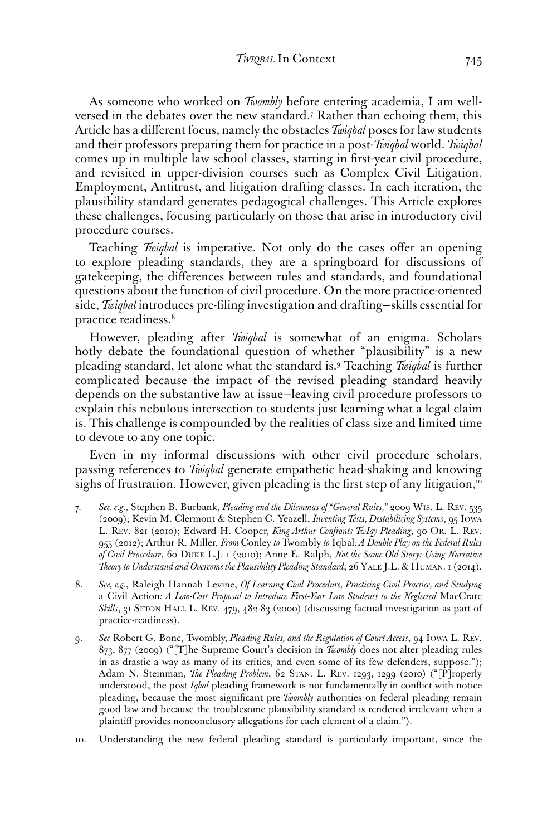As someone who worked on *Twombly* before entering academia, I am wellversed in the debates over the new standard.7 Rather than echoing them, this Article has a diferent focus, namely the obstacles *Twiqbal* poses for law students and their professors preparing them for practice in a post-*Twiqbal* world. *Twiqbal*  comes up in multiple law school classes, starting in frst-year civil procedure, and revisited in upper-division courses such as Complex Civil Litigation, Employment, Antitrust, and litigation drafting classes. In each iteration, the plausibility standard generates pedagogical challenges. This Article explores these challenges, focusing particularly on those that arise in introductory civil procedure courses.

Teaching *Twiqbal* is imperative. Not only do the cases offer an opening to explore pleading standards, they are a springboard for discussions of gatekeeping, the diferences between rules and standards, and foundational questions about the function of civil procedure. On the more practice-oriented side, *Twiqbal* introduces pre-fling investigation and drafting—skills essential for practice readiness.<sup>8</sup>

However, pleading after *Twiqbal* is somewhat of an enigma. Scholars hotly debate the foundational question of whether "plausibility" is a new pleading standard, let alone what the standard is.9 Teaching *Twiqbal* is further complicated because the impact of the revised pleading standard heavily depends on the substantive law at issue—leaving civil procedure professors to explain this nebulous intersection to students just learning what a legal claim is. This challenge is compounded by the realities of class size and limited time to devote to any one topic.

Even in my informal discussions with other civil procedure scholars, passing references to *Twiqbal* generate empathetic head-shaking and knowing sighs of frustration. However, given pleading is the first step of any litigation,<sup>10</sup>

- 7. *See, e.g.*, Stephen B. Burbank, *Pleading and the Dilemmas of "General Rules,"* 2009 WIS. L. REV. 535 (2009); Kevin M. Clermont & Stephen C. Yeazell, *Inventing Tests, Destabilizing Systems*, 95 IOWA L. REV. 821 (2010); Edward H. Cooper, *King Arthur Confronts TwIqy Pleading*, 90 OR. L. REV. 955 (2012); Arthur R. Miller, *From* Conley *to* Twombly *to* Iqbal*: A Double Play on the Federal Rules of Civil Procedure*, 60 DUKE L.J. 1 (2010); Anne E. Ralph, *Not the Same Old Story: Using Narrative Theory to Understand and Overcome the Plausibility Pleading Standard*, 26 YALE J.L. & HUMAN. 1 (2014).
- *Skills*, 31 SETON HALL L. REV. 479, 482-83 (2000) (discussing factual investigation as part of 8. *See, e.g.*, Raleigh Hannah Levine, *Of Learning Civil Procedure, Practicing Civil Practice, and Studying*  a Civil Action*: A Low-Cost Proposal to Introduce First-Year Law Students to the Neglected* MacCrate practice-readiness).
- 9. *See* Robert G. Bone, Twombly, *Pleading Rules, and the Regulation of Court Access*, 94 IOWA L. REV. 873, 877 (2009) ("[T]he Supreme Court's decision in *Twombly* does not alter pleading rules in as drastic a way as many of its critics, and even some of its few defenders, suppose."); Adam N. Steinman, *The Pleading Problem*, 62 STAN. L. REV. 1293, 1299 (2010) ("[P]roperly understood, the post-*Iqbal* pleading framework is not fundamentally in confict with notice pleading, because the most signifcant pre-*Twombly* authorities on federal pleading remain good law and because the troublesome plausibility standard is rendered irrelevant when a plaintif provides nonconclusory allegations for each element of a claim.").
- 10. Understanding the new federal pleading standard is particularly important, since the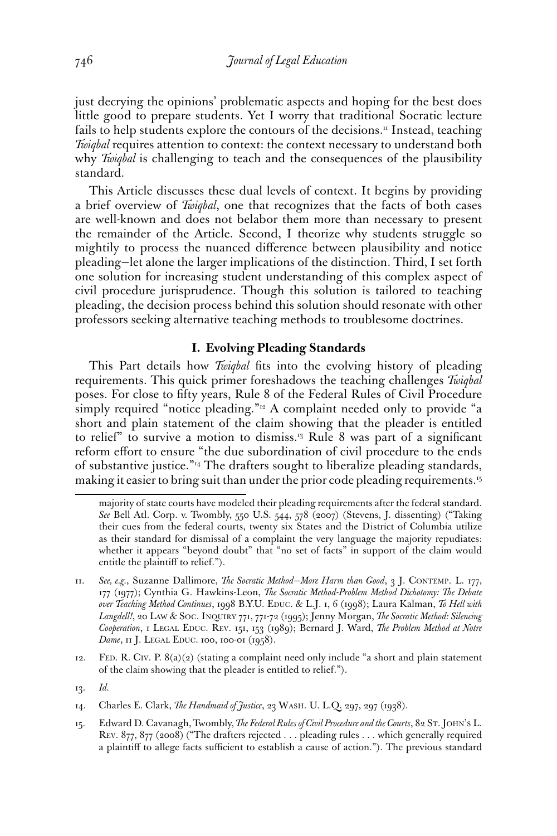just decrying the opinions' problematic aspects and hoping for the best does little good to prepare students. Yet I worry that traditional Socratic lecture fails to help students explore the contours of the decisions.<sup>11</sup> Instead, teaching *Twiqbal* requires attention to context: the context necessary to understand both why *Twiqbal* is challenging to teach and the consequences of the plausibility standard.

This Article discusses these dual levels of context. It begins by providing a brief overview of *Twiqbal*, one that recognizes that the facts of both cases are well-known and does not belabor them more than necessary to present the remainder of the Article. Second, I theorize why students struggle so mightily to process the nuanced diference between plausibility and notice pleading—let alone the larger implications of the distinction. Third, I set forth one solution for increasing student understanding of this complex aspect of civil procedure jurisprudence. Though this solution is tailored to teaching pleading, the decision process behind this solution should resonate with other professors seeking alternative teaching methods to troublesome doctrines.

#### **I. Evolving Pleading Standards**

This Part details how *Twiqbal* fts into the evolving history of pleading requirements. This quick primer foreshadows the teaching challenges *Twiqbal*  poses. For close to ffty years, Rule 8 of the Federal Rules of Civil Procedure simply required "notice pleading."<sup>12</sup> A complaint needed only to provide "a short and plain statement of the claim showing that the pleader is entitled to relief" to survive a motion to dismiss.<sup>13</sup> Rule 8 was part of a significant reform efort to ensure "the due subordination of civil procedure to the ends of substantive justice."14 The drafters sought to liberalize pleading standards, making it easier to bring suit than under the prior code pleading requirements.<sup>15</sup>

majority of state courts have modeled their pleading requirements after the federal standard. *See* Bell Atl. Corp. v. Twombly, 550 U.S. 544, 578 (2007) (Stevens, J. dissenting) ("Taking their cues from the federal courts, twenty six States and the District of Columbia utilize as their standard for dismissal of a complaint the very language the majority repudiates: whether it appears "beyond doubt" that "no set of facts" in support of the claim would entitle the plaintif to relief.").

<sup>11.</sup> *See, e.g.*, Suzanne Dallimore, *The Socratic Method—More Harm than Good*, 3 J. CONTEMP. L. 177, 177 (1977); Cynthia G. Hawkins-Leon, *The Socratic Method-Problem Method Dichotomy: The Debate over Teaching Method Continues*, 1998 B.Y.U. EDUC. & L.J. 1, 6 (1998); Laura Kalman, *To Hell with Langdell!*, 20 LAW & SOC. INQUIRY 771, 771-72 (1995); Jenny Morgan, *The Socratic Method: Silencing Cooperation*, 1 LEGAL EDUC. REV. 151, 153 (1989); Bernard J. Ward, *The Problem Method at Notre Dame*, 11 J. LEGAL EDUC. 100, 100-01 (1958).

<sup>12.</sup> FED. R. CIV. P. 8(a)(2) (stating a complaint need only include "a short and plain statement of the claim showing that the pleader is entitled to relief.").

<sup>13.</sup> *Id.* 

<sup>14.</sup> Charles E. Clark, *The Handmaid of Justice*, 23 WASH. U. L.Q. 297, 297 (1938).

<sup>15.</sup> Edward D. Cavanagh, Twombly, *The Federal Rules of Civil Procedure and the Courts*, 82 ST. JOHN'S L. REV. 877, 877 (2008) ("The drafters rejected . . . pleading rules . . . which generally required a plaintiff to allege facts sufficient to establish a cause of action."). The previous standard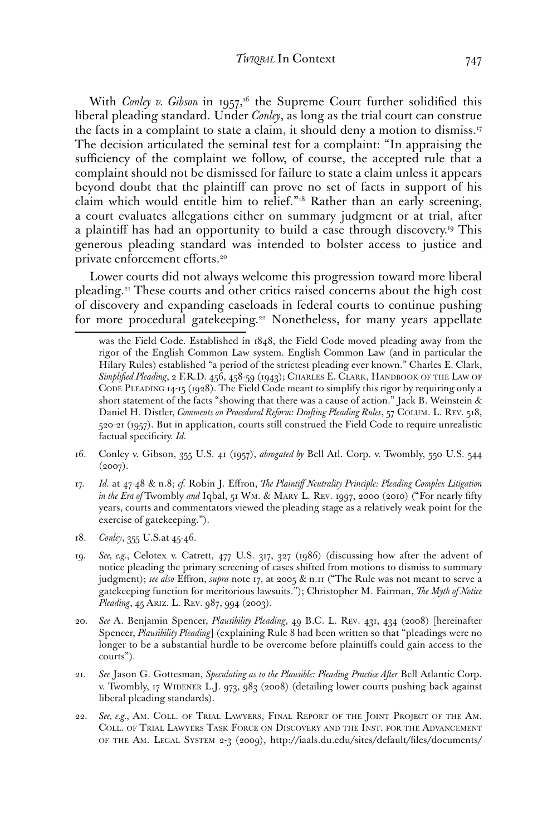With *Conley v. Gibson* in 1957,<sup>16</sup> the Supreme Court further solidified this liberal pleading standard. Under *Conley*, as long as the trial court can construe the facts in a complaint to state a claim, it should deny a motion to dismiss.<sup>17</sup> The decision articulated the seminal test for a complaint: "In appraising the sufficiency of the complaint we follow, of course, the accepted rule that a complaint should not be dismissed for failure to state a claim unless it appears beyond doubt that the plaintif can prove no set of facts in support of his claim which would entitle him to relief."18 Rather than an early screening, a court evaluates allegations either on summary judgment or at trial, after a plaintiff has had an opportunity to build a case through discovery.<sup>19</sup> This generous pleading standard was intended to bolster access to justice and private enforcement efforts.<sup>20</sup>

Lower courts did not always welcome this progression toward more liberal [pleading.21](https://pleading.21) These courts and other critics raised concerns about the high cost of discovery and expanding caseloads in federal courts to continue pushing for more procedural gatekeeping.<sup>22</sup> Nonetheless, for many years appellate

- 16. Conley v. Gibson, 355 U.S. 41 (1957), *abrogated by* Bell Atl. Corp. v. Twombly, 550 U.S. 544  $(2007).$
- 17. *Id.* at 47-48 & n.8; *cf.* Robin J. Efron, *The Plaintif Neutrality Principle: Pleading Complex Litigation in the Era of* Twombly *and* Iqbal, 51 WM. & MARY L. REV. 1997, 2000 (2010) ("For nearly ffty years, courts and commentators viewed the pleading stage as a relatively weak point for the exercise of gatekeeping.").
- 18. *Conley*, 355 U.S.at 45-46.
- 19. *See, e.g.*, Celotex v. Catrett, 477 U.S. 317, 327 (1986) (discussing how after the advent of notice pleading the primary screening of cases shifted from motions to dismiss to summary judgment); *see also* Efron, *supra* note 17, at 2005 & n.11 ("The Rule was not meant to serve a gatekeeping function for meritorious lawsuits."); Christopher M. Fairman, *The Myth of Notice Pleading*, 45 ARIZ. L. REV. 987, 994 (2003).
- Spencer, *Plausibility Pleading*] (explaining Rule 8 had been written so that "pleadings were no 20. *See* A. Benjamin Spencer, *Plausibility Pleading*, 49 B.C. L. REV. 431, 434 (2008) [hereinafter longer to be a substantial hurdle to be overcome before plaintifs could gain access to the courts").
- 21. *See* Jason G. Gottesman, *Speculating as to the Plausible: Pleading Practice After* Bell Atlantic Corp. v. Twombly, 17 WIDENER L.J. 973, 983 (2008) (detailing lower courts pushing back against liberal pleading standards).
- 22. *See, e.g.*, AM. COLL. OF TRIAL LAWYERS, FINAL REPORT OF THE JOINT PROJECT OF THE AM. COLL. OF TRIAL LAWYERS TASK FORCE ON DISCOVERY AND THE INST. FOR THE ADVANCEMENT OF THE AM. LEGAL SYSTEM 2-3 (2009), [http://iaals.du.edu/sites/default/fles/documents/](http://iaals.du.edu/sites/default/files/documents)

 *Simplifed Pleading*, 2 F.R.D. 456, 458-59 (1943); CHARLES E. CLARK, HANDBOOK OF THE LAW OF was the Field Code. Established in 1848, the Field Code moved pleading away from the rigor of the English Common Law system. English Common Law (and in particular the Hilary Rules) established "a period of the strictest pleading ever known." Charles E. Clark, CODE PLEADING 14-15 (1928). The Field Code meant to simplify this rigor by requiring only a short statement of the facts "showing that there was a cause of action." Jack B. Weinstein & Daniel H. Distler, *Comments on Procedural Reform: Drafting Pleading Rules*, 57 COLUM. L. REV. 518, 520-21 (1957). But in application, courts still construed the Field Code to require unrealistic factual specificity. *Id.*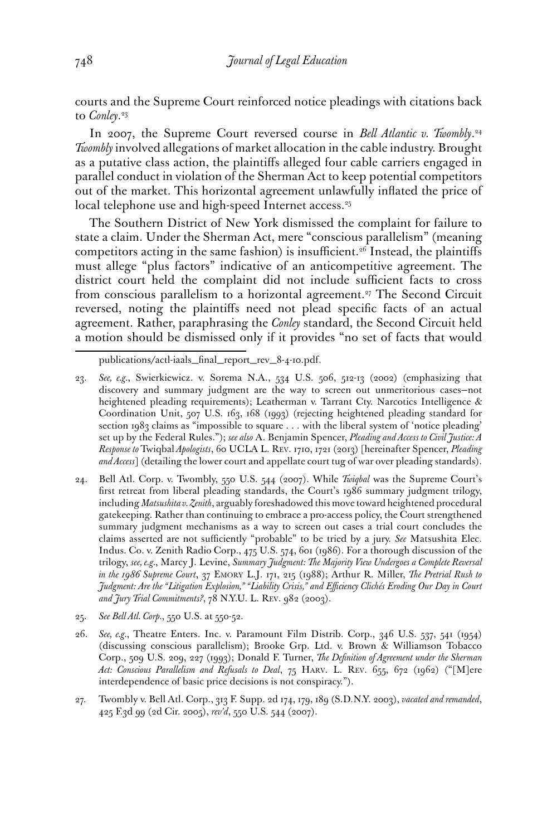courts and the Supreme Court reinforced notice pleadings with citations back to *[Conley](https://Conley.23)*. 23

In 2007, the Supreme Court reversed course in *Bell Atlantic v. [Twombly](https://Twombly.24)*. 24 *Twombly* involved allegations of market allocation in the cable industry. Brought as a putative class action, the plaintifs alleged four cable carriers engaged in parallel conduct in violation of the Sherman Act to keep potential competitors out of the market. This horizontal agreement unlawfully infated the price of local telephone use and high-speed Internet access.<sup>25</sup>

The Southern District of New York dismissed the complaint for failure to state a claim. Under the Sherman Act, mere "conscious parallelism" (meaning competitors acting in the same fashion) is insufficient.<sup>26</sup> Instead, the plaintiffs must allege "plus factors" indicative of an anticompetitive agreement. The district court held the complaint did not include sufficient facts to cross from conscious parallelism to a horizontal agreement.<sup>27</sup> The Second Circuit reversed, noting the plaintifs need not plead specifc facts of an actual agreement. Rather, paraphrasing the *Conley* standard, the Second Circuit held a motion should be dismissed only if it provides "no set of facts that would

- 24. Bell Atl. Corp. v. Twombly, 550 U.S. 544 (2007). While *Twiqbal* was the Supreme Court's frst retreat from liberal pleading standards, the Court's 1986 summary judgment trilogy, including *Matsushita v. Zenith*, arguably foreshadowed this move toward heightened procedural gatekeeping. Rather than continuing to embrace a pro-access policy, the Court strengthened summary judgment mechanisms as a way to screen out cases a trial court concludes the claims asserted are not sufficiently "probable" to be tried by a jury. See Matsushita Elec. Indus. Co. v. Zenith Radio Corp., 475 U.S. 574, 601 (1986). For a thorough discussion of the trilogy, *see, e.g.*, Marcy J. Levine, *Summary Judgment: The Majority View Undergoes a Complete Reversal in the 1986 Supreme Court*, 37 EMORY L.J. 171, 215 (1988); Arthur R. Miller, *The Pretrial Rush to Judgment: Are the "Litigation Explosion," "Liability Crisis," and Efciency Clichés Eroding Our Day in Court and Jury Trial Commitments?*, 78 N.Y.U. L. REV. 982 (2003).
- 25. *See Bell Atl. Corp.*, 550 U.S. at 550-52.
- 26. *See, e.g.*, Theatre Enters. Inc. v. Paramount Film Distrib. Corp., 346 U.S. 537, 541 (1954) (discussing conscious parallelism); Brooke Grp. Ltd. v. Brown & Williamson Tobacco Corp., 509 U.S. 209, 227 (1993); Donald F. Turner, *The Defnition of Agreement under the Sherman Act: Conscious Parallelism and Refusals to Deal*, 75 HARV. L. REV. 655, 672 (1962) ("[M]ere interdependence of basic price decisions is not conspiracy.").
- 27. Twombly v. Bell Atl. Corp., 313 F. Supp. 2d 174, 179, 189 (S.D.N.Y. 2003), *vacated and remanded*, 425 F.3d 99 (2d Cir. 2005), *rev'd*, 550 U.S. 544 (2007).

publications/actl-iaals\_fnal\_report\_rev\_8-4-10.pdf.

<sup>23.</sup> *See, e.g.*, Swierkiewicz. v. Sorema N.A., 534 U.S. 506, 512-13 (2002) (emphasizing that discovery and summary judgment are the way to screen out unmeritorious cases—not heightened pleading requirements); Leatherman v. Tarrant Cty. Narcotics Intelligence & Coordination Unit, 507 U.S. 163, 168 (1993) (rejecting heightened pleading standard for section 1983 claims as "impossible to square . . . with the liberal system of 'notice pleading' set up by the Federal Rules."); *see also* A. Benjamin Spencer, *Pleading and Access to Civil Justice: A Response to* Twiqbal *Apologists*, 60 UCLA L. REV. 1710, 1721 (2013) [hereinafter Spencer, *Pleading and Access*] (detailing the lower court and appellate court tug of war over pleading standards).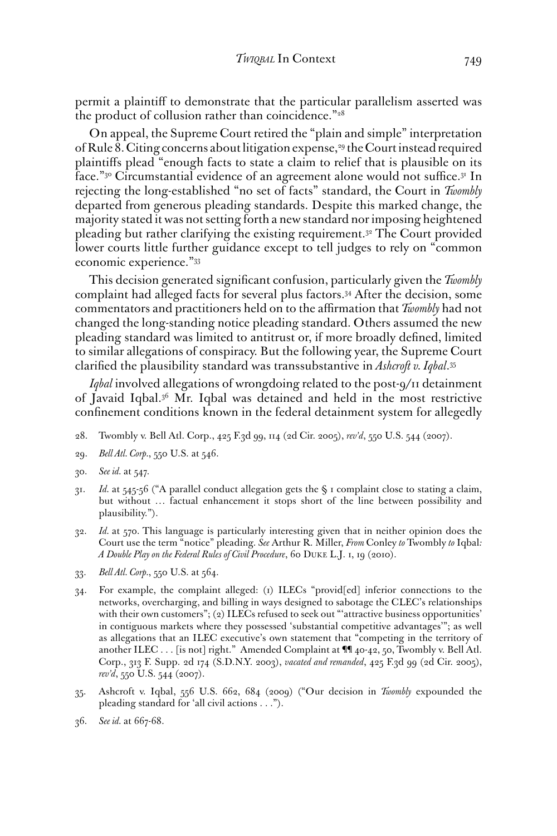permit a plaintif to demonstrate that the particular parallelism asserted was the product of collusion rather than coincidence."<sup>28</sup>

 economic experience."33 On appeal, the Supreme Court retired the "plain and simple" interpretation of Rule 8. Citing concerns about litigation expense,<sup>29</sup> the Court instead required plaintifs plead "enough facts to state a claim to relief that is plausible on its face."<sup>30</sup> Circumstantial evidence of an agreement alone would not suffice.<sup>31</sup> In rejecting the long-established "no set of facts" standard, the Court in *Twombly*  departed from generous pleading standards. Despite this marked change, the majority stated it was not setting forth a new standard nor imposing heightened pleading but rather clarifying the existing [requirement.32](https://requirement.32) The Court provided lower courts little further guidance except to tell judges to rely on "common

This decision generated signifcant confusion, particularly given the *Twombly*  complaint had alleged facts for several plus [factors.34](https://factors.34) After the decision, some commentators and practitioners held on to the afrmation that *Twombly* had not changed the long-standing notice pleading standard. Others assumed the new pleading standard was limited to antitrust or, if more broadly defned, limited to similar allegations of conspiracy. But the following year, the Supreme Court clarifed the plausibility standard was transsubstantive in *Ashcroft v. [Iqbal](https://Iqbal.35)*. 35

*Iqbal* involved allegations of wrongdoing related to the post-9/11 detainment of Javaid [Iqbal.36](https://Iqbal.36) Mr. Iqbal was detained and held in the most restrictive confnement conditions known in the federal detainment system for allegedly

- 28. Twombly v. Bell Atl. Corp., 425 F.3d 99, 114 (2d Cir. 2005), *rev'd*, 550 U.S. 544 (2007).
- 29. *Bell Atl. Corp.*, 550 U.S. at 546.
- 30. *See id.* at 547.
- 31. *Id.* at 545-56 ("A parallel conduct allegation gets the § 1 complaint close to stating a claim, but without … factual enhancement it stops short of the line between possibility and plausibility.").
- 32. *Id.* at 570. This language is particularly interesting given that in neither opinion does the Court use the term "notice" pleading. *See* Arthur R. Miller, *From* Conley *to* Twombly *to* Iqbal*: A Double Play on the Federal Rules of Civil Procedure*, 60 DUKE L.J. 1, 19 (2010).
- 33. *Bell Atl. Corp.*, 550 U.S. at 564.
- 34. For example, the complaint alleged: (1) ILECs "provid[ed] inferior connections to the networks, overcharging, and billing in ways designed to sabotage the CLEC's relationships with their own customers"; (2) ILECs refused to seek out "'attractive business opportunities' in contiguous markets where they possessed 'substantial competitive advantages'"; as well as allegations that an ILEC executive's own statement that "competing in the territory of another ILEC . . . [is not] right." Amended Complaint at ¶¶ 40-42, 50, Twombly v. Bell Atl. Corp., 313 F. Supp. 2d 174 (S.D.N.Y. 2003), *vacated and remanded*, 425 F.3d 99 (2d Cir. 2005), *rev'd*, 550 U.S. 544 (2007).
- 35. Ashcroft v. Iqbal, 556 U.S. 662, 684 (2009) ("Our decision in *Twombly* expounded the pleading standard for 'all civil actions . . .").
- 36. *See id.* at 667-68.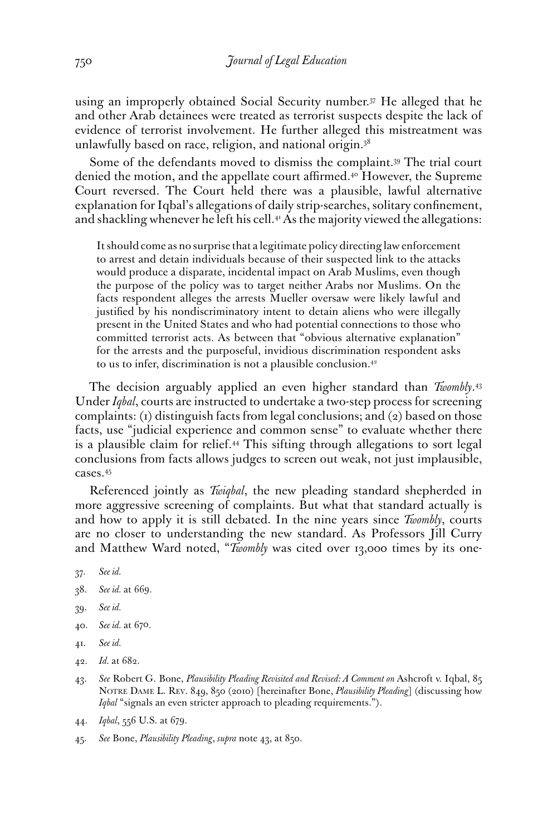using an improperly obtained Social Security number.<sup>37</sup> He alleged that he and other Arab detainees were treated as terrorist suspects despite the lack of evidence of terrorist involvement. He further alleged this mistreatment was unlawfully based on race, religion, and national [origin.38](https://origin.38)

Some of the defendants moved to dismiss the [complaint.39](https://complaint.39) The trial court denied the motion, and the appellate court affirmed.<sup>40</sup> However, the Supreme Court reversed. The Court held there was a plausible, lawful alternative explanation for Iqbal's allegations of daily strip-searches, solitary confnement, and shackling whenever he left his cell.<sup>41</sup> As the majority viewed the allegations:

It should come as no surprise that a legitimate policy directing law enforcement to arrest and detain individuals because of their suspected link to the attacks would produce a disparate, incidental impact on Arab Muslims, even though the purpose of the policy was to target neither Arabs nor Muslims. On the facts respondent alleges the arrests Mueller oversaw were likely lawful and justifed by his nondiscriminatory intent to detain aliens who were illegally present in the United States and who had potential connections to those who committed terrorist acts. As between that "obvious alternative explanation" for the arrests and the purposeful, invidious discrimination respondent asks to us to infer, discrimination is not a plausible [conclusion.42](https://conclusion.42) 

The decision arguably applied an even higher standard than *[Twombly](https://Twombly.43)*. 43 Under *Iqbal*, courts are instructed to undertake a two-step process for screening complaints:  $(i)$  distinguish facts from legal conclusions; and  $(2)$  based on those facts, use "judicial experience and common sense" to evaluate whether there is a plausible claim for relief.<sup>44</sup> This sifting through allegations to sort legal conclusions from facts allows judges to screen out weak, not just implausible, [cases.45](https://cases.45) 

Referenced jointly as *Twiqbal*, the new pleading standard shepherded in more aggressive screening of complaints. But what that standard actually is and how to apply it is still debated. In the nine years since *Twombly*, courts are no closer to understanding the new standard. As Professors Jill Curry and Matthew Ward noted, "*Twombly* was cited over 13,000 times by its one-

- 37. *See id.*
- 38. *See id.* at 669.
- 39. *See id.*
- 40. *See id.* at 670.
- 41. *See id.*
- 42. *Id.* at 682.
- NOTRE DAME L. REV. 849, 850 (2010) [hereinafter Bone, *Plausibility Pleading*] (discussing how 43. *See* Robert G. Bone, *Plausibility Pleading Revisited and Revised: A Comment on* Ashcroft v. Iqbal, 85 *Iqbal* "signals an even stricter approach to pleading requirements.").
- 44. *Iqbal*, 556 U.S. at 679.
- 45. *See* Bone, *Plausibility Pleading*, *supra* note 43, at 850.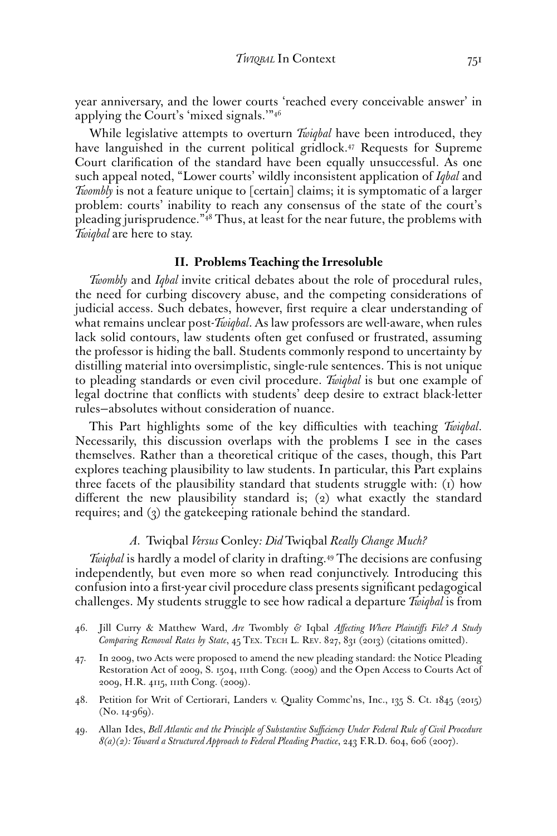year anniversary, and the lower courts 'reached every conceivable answer' in applying the Court's 'mixed signals.'"46

While legislative attempts to overturn *Twiqbal* have been introduced, they have languished in the current political gridlock.<sup>47</sup> Requests for Supreme Court clarifcation of the standard have been equally unsuccessful. As one such appeal noted, "Lower courts' wildly inconsistent application of *Iqbal* and *Twombly* is not a feature unique to [certain] claims; it is symptomatic of a larger problem: courts' inability to reach any consensus of the state of the court's pleading jurisprudence."48 Thus, at least for the near future, the problems with *Twiqbal* are here to stay.

#### **II. Problems Teaching the Irresoluble**

*Twombly* and *Iqbal* invite critical debates about the role of procedural rules, the need for curbing discovery abuse, and the competing considerations of judicial access. Such debates, however, frst require a clear understanding of what remains unclear post-*Twiqbal*. As law professors are well-aware, when rules lack solid contours, law students often get confused or frustrated, assuming the professor is hiding the ball. Students commonly respond to uncertainty by distilling material into oversimplistic, single-rule sentences. This is not unique to pleading standards or even civil procedure. *Twiqbal* is but one example of legal doctrine that conficts with students' deep desire to extract black-letter rules—absolutes without consideration of nuance.

This Part highlights some of the key difficulties with teaching Twiqbal. Necessarily, this discussion overlaps with the problems I see in the cases themselves. Rather than a theoretical critique of the cases, though, this Part explores teaching plausibility to law students. In particular, this Part explains three facets of the plausibility standard that students struggle with: (1) how diferent the new plausibility standard is; (2) what exactly the standard requires; and (3) the gatekeeping rationale behind the standard.

#### *A.* Twiqbal *Versus* Conley*: Did* Twiqbal *Really Change Much?*

*Twigbal* is hardly a model of clarity in drafting.<sup>49</sup> The decisions are confusing independently, but even more so when read conjunctively. Introducing this confusion into a frst-year civil procedure class presents signifcant pedagogical challenges. My students struggle to see how radical a departure *Twiqbal* is from

- 47. In 2009, two Acts were proposed to amend the new pleading standard: the Notice Pleading Restoration Act of 2009, S. 1504, 111th Cong. (2009) and the Open Access to Courts Act of 2009, H.R. 4115, 111th Cong. (2009).
- 48. Petition for Writ of Certiorari, Landers v. Quality Commc'ns, Inc., 135 S. Ct. 1845 (2015) (No. 14-969).
- 49. Allan Ides, *Bell Atlantic and the Principle of Substantive Sufciency Under Federal Rule of Civil Procedure 8(a)(2): Toward a Structured Approach to Federal Pleading Practice*, 243 F.R.D. 604, 606 (2007).

<sup>46.</sup> Jill Curry & Matthew Ward, *Are* Twombly *&* Iqbal *Afecting Where Plaintifs File? A Study Comparing Removal Rates by State*, 45 TEX. TECH L. REV. 827, 831 (2013) (citations omitted).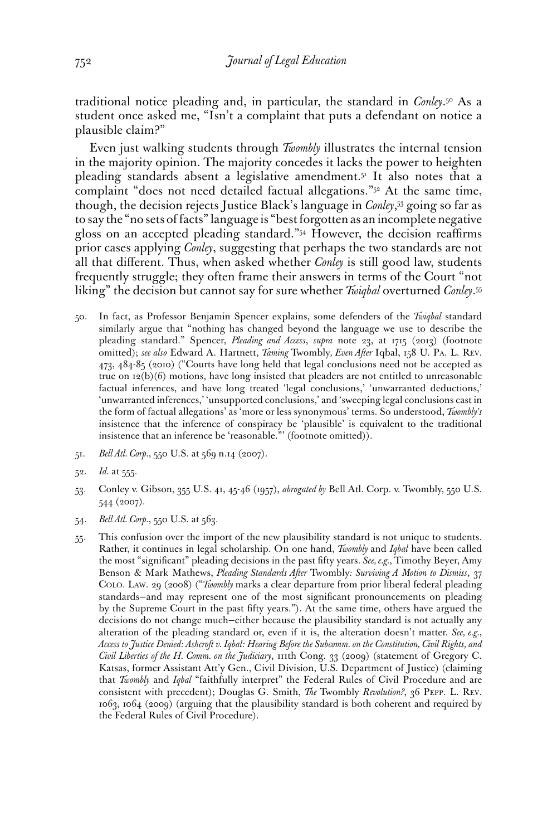traditional notice pleading and, in particular, the standard in *[Conley](https://Conley.50)*. 50 As a student once asked me, "Isn't a complaint that puts a defendant on notice a plausible claim?"

Even just walking students through *Twombly* illustrates the internal tension in the majority opinion. The majority concedes it lacks the power to heighten pleading standards absent a legislative [amendment.51](https://amendment.51) It also notes that a complaint "does not need detailed factual allegations."52 At the same time, though, the decision rejects Justice Black's language in *Conley*, 53 going so far as to say the "no sets of facts" language is "best forgotten as an incomplete negative gloss on an accepted pleading standard."54 However, the decision reafrms prior cases applying *Conley*, suggesting that perhaps the two standards are not all that diferent. Thus, when asked whether *Conley* is still good law, students frequently struggle; they often frame their answers in terms of the Court "not liking" the decision but cannot say for sure whether *Twiqbal* overturned *[Conley](https://Conley.55)*. 55

- 50. In fact, as Professor Benjamin Spencer explains, some defenders of the *Twiqbal* standard similarly argue that "nothing has changed beyond the language we use to describe the pleading standard." Spencer, *Pleading and Access*, *supra* note 23, at 1715 (2013) (footnote omitted); *see also* Edward A. Hartnett, *Taming* Twombly*, Even After* Iqbal, 158 U. PA. L. REV. 473, 484-85 (2010) ("Courts have long held that legal conclusions need not be accepted as true on  $12(b)(6)$  motions, have long insisted that pleaders are not entitled to unreasonable factual inferences, and have long treated 'legal conclusions,' 'unwarranted deductions,' 'unwarranted inferences,' 'unsupported conclusions,' and 'sweeping legal conclusions cast in the form of factual allegations' as 'more or less synonymous' terms. So understood, *Twombly's*  insistence that the inference of conspiracy be 'plausible' is equivalent to the traditional insistence that an inference be 'reasonable."' (footnote omitted)).
- 51. *Bell Atl. Corp.*, 550 U.S. at 569 n.14 (2007).
- 52. *Id.* at 555.
- 53. Conley v. Gibson, 355 U.S. 41, 45-46 (1957), *abrogated by* Bell Atl. Corp. v. Twombly, 550 U.S. 544 (2007).
- 54. *Bell Atl. Corp.*, 550 U.S. at 563.
- 55. This confusion over the import of the new plausibility standard is not unique to students. Rather, it continues in legal scholarship. On one hand, *Twombly* and *Iqbal* have been called the most "signifcant" pleading decisions in the past ffty years. *See, e.g.*, Timothy Beyer, Amy Benson & Mark Mathews, *Pleading Standards After* Twombly*: Surviving A Motion to Dismiss*, 37 COLO. LAW. 29 (2008) ("*Twombly* marks a clear departure from prior liberal federal pleading standards—and may represent one of the most signifcant pronouncements on pleading by the Supreme Court in the past ffty years."). At the same time, others have argued the decisions do not change much—either because the plausibility standard is not actually any alteration of the pleading standard or, even if it is, the alteration doesn't matter. *See, e.g.*, *Access to Justice Denied: Ashcroft v. Iqbal: Hearing Before the Subcomm. on the Constitution, Civil Rights, and Civil Liberties of the H. Comm. on the Judiciary*, 111th Cong. 33 (2009) (statement of Gregory C. Katsas, former Assistant Att'y Gen., Civil Division, U.S. Department of Justice) (claiming that *Twombly* and *Iqbal* "faithfully interpret" the Federal Rules of Civil Procedure and are consistent with precedent); Douglas G. Smith, *The* Twombly *Revolution?*, 36 PEPP. L. REV. 1063, 1064 (2009) (arguing that the plausibility standard is both coherent and required by the Federal Rules of Civil Procedure).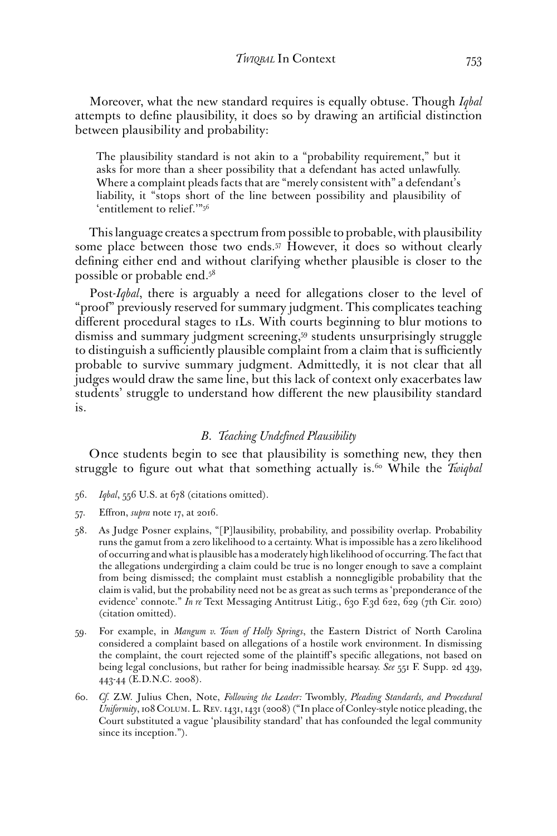Moreover, what the new standard requires is equally obtuse. Though *Iqbal*  attempts to defne plausibility, it does so by drawing an artifcial distinction between plausibility and probability:

The plausibility standard is not akin to a "probability requirement," but it asks for more than a sheer possibility that a defendant has acted unlawfully. Where a complaint pleads facts that are "merely consistent with" a defendant's liability, it "stops short of the line between possibility and plausibility of 'entitlement to relief.'"56

This language creates a spectrum from possible to probable, with plausibility some place between those two ends.57 However, it does so without clearly defning either end and without clarifying whether plausible is closer to the possible or probable end.58

Post-*Iqbal*, there is arguably a need for allegations closer to the level of "proof" previously reserved for summary judgment. This complicates teaching diferent procedural stages to 1Ls. With courts beginning to blur motions to dismiss and summary judgment screening,59 students unsurprisingly struggle to distinguish a sufficiently plausible complaint from a claim that is sufficiently probable to survive summary judgment. Admittedly, it is not clear that all judges would draw the same line, but this lack of context only exacerbates law students' struggle to understand how diferent the new plausibility standard is.

#### *B*. *Teaching Undefined Plausibility*

Once students begin to see that plausibility is something new, they then struggle to figure out what that something actually is.<sup>60</sup> While the *Twiqbal* 

- 56. *Iqbal*, 556 U.S. at 678 (citations omitted).
- 57. Efron, *supra* note 17, at 2016.
- 58. As Judge Posner explains, "[P]lausibility, probability, and possibility overlap. Probability runs the gamut from a zero likelihood to a certainty. What is impossible has a zero likelihood of occurring and what is plausible has a moderately high likelihood of occurring. The fact that the allegations undergirding a claim could be true is no longer enough to save a complaint from being dismissed; the complaint must establish a nonnegligible probability that the claim is valid, but the probability need not be as great as such terms as 'preponderance of the evidence' connote." *In re* Text Messaging Antitrust Litig., 630 F.3d 622, 629 (7th Cir. 2010) (citation omitted).
- 59. For example, in *Mangum v. Town of Holly Springs*, the Eastern District of North Carolina considered a complaint based on allegations of a hostile work environment. In dismissing the complaint, the court rejected some of the plaintif's specifc allegations, not based on being legal conclusions, but rather for being inadmissible hearsay. *See* 551 F. Supp. 2d 439, 443-44 (E.D.N.C. 2008).
- 60. *Cf.* Z.W. Julius Chen, Note, *Following the Leader:* Twombly*, Pleading Standards, and Procedural Uniformity*, 108 COLUM. L. REV. 1431, 1431 (2008) ("In place of Conley-style notice pleading, the Court substituted a vague 'plausibility standard' that has confounded the legal community since its inception.").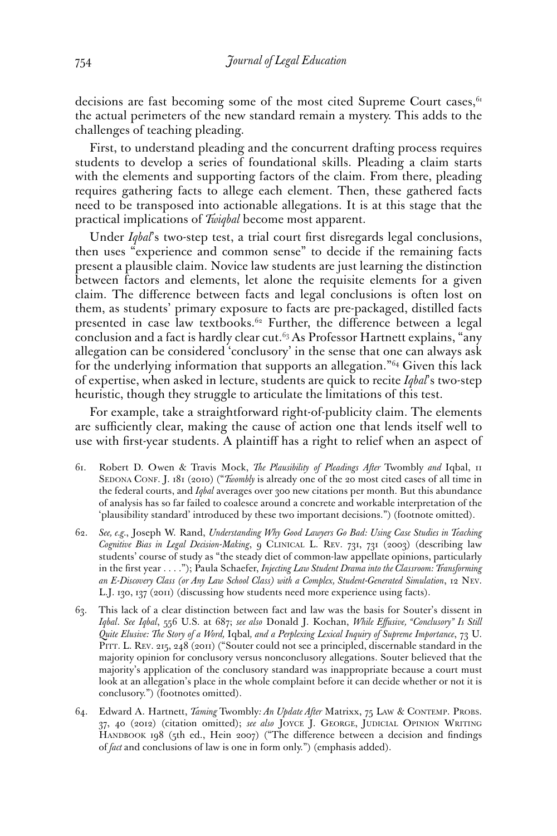decisions are fast becoming some of the most cited Supreme Court cases,  $61$ the actual perimeters of the new standard remain a mystery. This adds to the challenges of teaching pleading.

First, to understand pleading and the concurrent drafting process requires students to develop a series of foundational skills. Pleading a claim starts with the elements and supporting factors of the claim. From there, pleading requires gathering facts to allege each element. Then, these gathered facts need to be transposed into actionable allegations. It is at this stage that the practical implications of *Twiqbal* become most apparent.

Under *Iqbal*'s two-step test, a trial court frst disregards legal conclusions, then uses "experience and common sense" to decide if the remaining facts present a plausible claim. Novice law students are just learning the distinction between factors and elements, let alone the requisite elements for a given claim. The diference between facts and legal conclusions is often lost on them, as students' primary exposure to facts are pre-packaged, distilled facts presented in case law textbooks.<sup>62</sup> Further, the difference between a legal conclusion and a fact is hardly clear cut. $63$  As Professor Hartnett explains, "any allegation can be considered 'conclusory' in the sense that one can always ask for the underlying information that supports an allegation."64 Given this lack of expertise, when asked in lecture, students are quick to recite *Iqbal*'s two-step heuristic, though they struggle to articulate the limitations of this test.

For example, take a straightforward right-of-publicity claim. The elements are sufficiently clear, making the cause of action one that lends itself well to use with frst-year students. A plaintif has a right to relief when an aspect of

- 61. Robert D. Owen & Travis Mock, *The Plausibility of Pleadings After* Twombly *and* Iqbal, 11 SEDONA CONF. J. 181 (2010) ("*Twombly* is already one of the 20 most cited cases of all time in the federal courts, and *Iqbal* averages over 300 new citations per month. But this abundance of analysis has so far failed to coalesce around a concrete and workable interpretation of the 'plausibility standard' introduced by these two important decisions.") (footnote omitted).
- 62. *See, e.g.*, Joseph W. Rand, *Understanding Why Good Lawyers Go Bad: Using Case Studies in Teaching Cognitive Bias in Legal Decision-Making*, 9 CLINICAL L. REV. 731, 731 (2003) (describing law students' course of study as "the steady diet of common-law appellate opinions, particularly in the frst year . . . ."); Paula Schaefer, *Injecting Law Student Drama into the Classroom: Transforming an E-Discovery Class (or Any Law School Class) with a Complex, Student-Generated Simulation*, 12 NEV. L.J. 130, 137 (2011) (discussing how students need more experience using facts).
- 63. This lack of a clear distinction between fact and law was the basis for Souter's dissent in *Iqbal*. *See Iqbal*, 556 U.S. at 687; *see also* Donald J. Kochan, *While Efusive, "Conclusory" Is Still Quite Elusive: The Story of a Word,* Iqbal*, and a Perplexing Lexical Inquiry of Supreme Importance*, 73 U. PITT. L. REV. 215, 248 (2011) ("Souter could not see a principled, discernable standard in the majority opinion for conclusory versus nonconclusory allegations. Souter believed that the majority's application of the conclusory standard was inappropriate because a court must look at an allegation's place in the whole complaint before it can decide whether or not it is conclusory.") (footnotes omitted).
- 37, 40 (2012) (citation omitted); *see also* JOYCE J. GEORGE, JUDICIAL OPINION WRITING  of *fact* and conclusions of law is one in form only.") (emphasis added). 64. Edward A. Hartnett, *Taming* Twombly*: An Update After* Matrixx, 75 LAW & CONTEMP. PROBS. HANDBOOK 198 (5th ed., Hein 2007) ("The difference between a decision and findings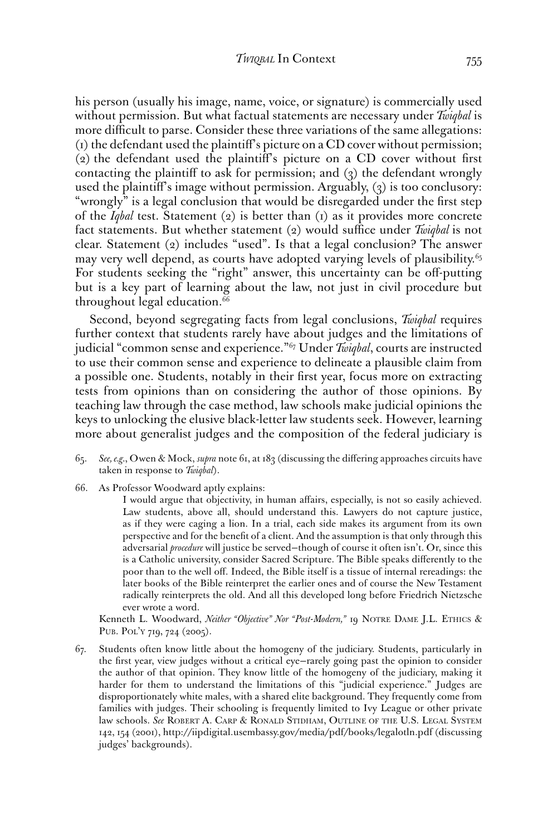his person (usually his image, name, voice, or signature) is commercially used without permission. But what factual statements are necessary under *Twiqbal* is more difficult to parse. Consider these three variations of the same allegations: (1) the defendant used the plaintif's picture on a CD cover without permission; (2) the defendant used the plaintif's picture on a CD cover without frst contacting the plaintif to ask for permission; and (3) the defendant wrongly used the plaintif's image without permission. Arguably, (3) is too conclusory: "wrongly" is a legal conclusion that would be disregarded under the frst step of the *Iqbal* test. Statement (2) is better than (1) as it provides more concrete fact statements. But whether statement (2) would suffice under *Twiqbal* is not clear. Statement (2) includes "used". Is that a legal conclusion? The answer may very well depend, as courts have adopted varying levels of plausibility.<sup>65</sup> For students seeking the "right" answer, this uncertainty can be off-putting but is a key part of learning about the law, not just in civil procedure but throughout legal education.<sup>66</sup>

Second, beyond segregating facts from legal conclusions, *Twiqbal* requires further context that students rarely have about judges and the limitations of judicial "common sense and experience."67 Under *Twiqbal*, courts are instructed to use their common sense and experience to delineate a plausible claim from a possible one. Students, notably in their frst year, focus more on extracting tests from opinions than on considering the author of those opinions. By teaching law through the case method, law schools make judicial opinions the keys to unlocking the elusive black-letter law students seek. However, learning more about generalist judges and the composition of the federal judiciary is

- 65. *See, e.g.*, Owen & Mock, *supra* note 61, at 183 (discussing the difering approaches circuits have taken in response to *Twiqbal*).
- 66. As Professor Woodward aptly explains:

I would argue that objectivity, in human affairs, especially, is not so easily achieved. Law students, above all, should understand this. Lawyers do not capture justice, as if they were caging a lion. In a trial, each side makes its argument from its own perspective and for the beneft of a client. And the assumption is that only through this adversarial *procedure* will justice be served—though of course it often isn't. Or, since this is a Catholic university, consider Sacred Scripture. The Bible speaks diferently to the poor than to the well of. Indeed, the Bible itself is a tissue of internal rereadings: the later books of the Bible reinterpret the earlier ones and of course the New Testament radically reinterprets the old. And all this developed long before Friedrich Nietzsche ever wrote a word.

 Kenneth L. Woodward, *Neither "Objective" Nor "Post-Modern,"* 19 NOTRE DAME J.L. ETHICS & PUB. POL'Y 719, 724 (2005).

 law schools. *See* ROBERT A. CARP & RONALD STIDHAM, OUTLINE OF THE U.S. LEGAL SYSTEM 67. Students often know little about the homogeny of the judiciary. Students, particularly in the frst year, view judges without a critical eye—rarely going past the opinion to consider the author of that opinion. They know little of the homogeny of the judiciary, making it harder for them to understand the limitations of this "judicial experience." Judges are disproportionately white males, with a shared elite background. They frequently come from families with judges. Their schooling is frequently limited to Ivy League or other private 142, 154 (2001),<http://iipdigital.usembassy.gov/media/pdf/books/legalotln.pdf> (discussing judges' backgrounds).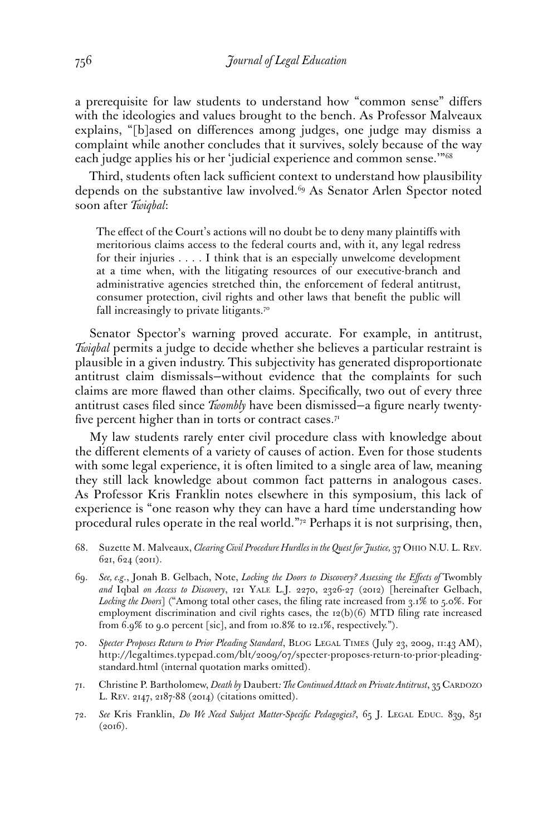a prerequisite for law students to understand how "common sense" difers with the ideologies and values brought to the bench. As Professor Malveaux explains, "[b]ased on diferences among judges, one judge may dismiss a complaint while another concludes that it survives, solely because of the way each judge applies his or her 'judicial experience and common sense.'"68

Third, students often lack sufficient context to understand how plausibility depends on the substantive law involved.<sup>69</sup> As Senator Arlen Spector noted soon after *Twiqbal*:

The efect of the Court's actions will no doubt be to deny many plaintifs with meritorious claims access to the federal courts and, with it, any legal redress for their injuries . . . . I think that is an especially unwelcome development at a time when, with the litigating resources of our executive-branch and administrative agencies stretched thin, the enforcement of federal antitrust, consumer protection, civil rights and other laws that beneft the public will fall increasingly to private litigants.<sup>70</sup>

Senator Spector's warning proved accurate. For example, in antitrust, *Twiqbal* permits a judge to decide whether she believes a particular restraint is plausible in a given industry. This subjectivity has generated disproportionate antitrust claim dismissals—without evidence that the complaints for such claims are more fawed than other claims. Specifcally, two out of every three antitrust cases fled since *Twombly* have been dismissed—a fgure nearly twentyfive percent higher than in torts or contract cases. $7<sup>T</sup>$ 

My law students rarely enter civil procedure class with knowledge about the diferent elements of a variety of causes of action. Even for those students with some legal experience, it is often limited to a single area of law, meaning they still lack knowledge about common fact patterns in analogous cases. As Professor Kris Franklin notes elsewhere in this symposium, this lack of experience is "one reason why they can have a hard time understanding how procedural rules operate in the real world."72 Perhaps it is not surprising, then,

- 68. Suzette M. Malveaux, *Clearing Civil Procedure Hurdles in the Quest for Justice*, 37 OHIO N.U. L. REV. 621, 624 (2011).
- 69. *See, e.g*., Jonah B. Gelbach, Note, *Locking the Doors to Discovery? Assessing the Efects of* Twombly *and* Iqbal *on Access to Discovery*, 121 YALE L.J. 2270, 2326-27 (2012) [hereinafter Gelbach, *Locking the Doors*] ("Among total other cases, the fling rate increased from 3.1% to 5.0%. For employment discrimination and civil rights cases, the 12(b)(6) MTD fling rate increased from 6.9% to 9.0 percent [sic], and from 10.8% to 12.1%, respectively.").
- 70. *Specter Proposes Return to Prior Pleading Standard*, BLOG LEGAL TIMES (July 23, 2009, 11:43 AM), <http://legaltimes.typepad.com/blt/2009/07/specter-proposes-return-to-prior-pleading>standard.html (internal quotation marks omitted).
- 71. Christine P. Bartholomew, *Death by* Daubert*: The Continued Attack on Private Antitrust*, 35 CARDOZO L. REV. 2147, 2187-88 (2014) (citations omitted).
- 72. *See* Kris Franklin, *Do We Need Subject Matter-Specifc Pedagogies?*, 65 J. LEGAL EDUC. 839, 851  $(2016).$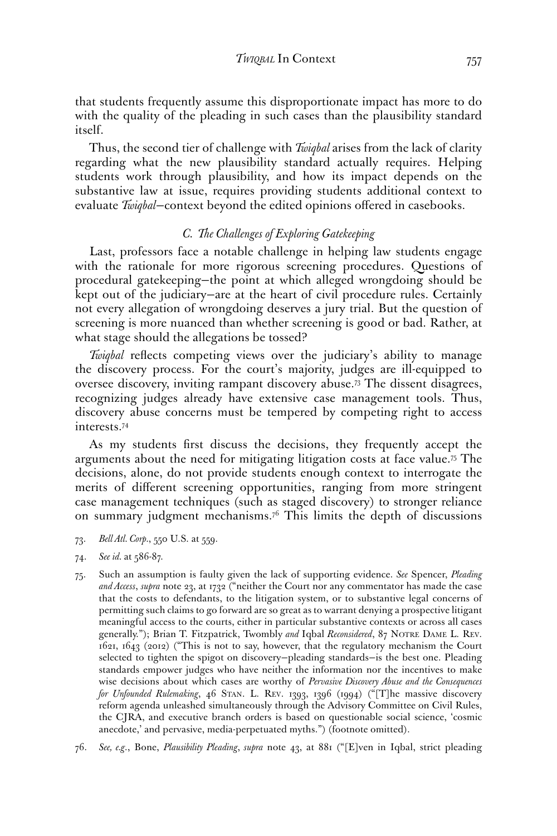that students frequently assume this disproportionate impact has more to do with the quality of the pleading in such cases than the plausibility standard itself.

Thus, the second tier of challenge with *Twiqbal* arises from the lack of clarity regarding what the new plausibility standard actually requires. Helping students work through plausibility, and how its impact depends on the substantive law at issue, requires providing students additional context to evaluate *Twiqbal*—context beyond the edited opinions ofered in casebooks.

#### *C. The Challenges of Exploring Gatekeeping*

Last, professors face a notable challenge in helping law students engage with the rationale for more rigorous screening procedures. Questions of procedural gatekeeping—the point at which alleged wrongdoing should be kept out of the judiciary—are at the heart of civil procedure rules. Certainly not every allegation of wrongdoing deserves a jury trial. But the question of screening is more nuanced than whether screening is good or bad. Rather, at what stage should the allegations be tossed?

*Twiqbal* reflects competing views over the judiciary's ability to manage the discovery process. For the court's majority, judges are ill-equipped to oversee discovery, inviting rampant discovery [abuse.73](https://abuse.73) The dissent disagrees, recognizing judges already have extensive case management tools. Thus, discovery abuse concerns must be tempered by competing right to access [interests.74](https://interests.74)

As my students frst discuss the decisions, they frequently accept the arguments about the need for mitigating litigation costs at face [value.75](https://value.75) The decisions, alone, do not provide students enough context to interrogate the merits of diferent screening opportunities, ranging from more stringent case management techniques (such as staged discovery) to stronger reliance on summary judgment mechanisms.<sup>76</sup> This limits the depth of discussions

- 73. *Bell Atl. Corp.*, 550 U.S. at 559.
- $74.$ 74. *See id.* at 586-87.
- generally."); Brian T. Fitzpatrick, Twombly *and* Iqbal *Reconsidered*, 87 NOTRE DAME L. REV. 75. Such an assumption is faulty given the lack of supporting evidence. *See* Spencer, *Pleading and Access*, *supra* note 23, at 1732 ("neither the Court nor any commentator has made the case that the costs to defendants, to the litigation system, or to substantive legal concerns of permitting such claims to go forward are so great as to warrant denying a prospective litigant meaningful access to the courts, either in particular substantive contexts or across all cases 1621, 1643 (2012) ("This is not to say, however, that the regulatory mechanism the Court selected to tighten the spigot on discovery—pleading standards—is the best one. Pleading standards empower judges who have neither the information nor the incentives to make wise decisions about which cases are worthy of *Pervasive Discovery Abuse and the Consequences for Unfounded Rulemaking*, 46 STAN. L. REV. 1393, 1396 (1994) ("[T]he massive discovery reform agenda unleashed simultaneously through the Advisory Committee on Civil Rules, the CJRA, and executive branch orders is based on questionable social science, 'cosmic anecdote,' and pervasive, media-perpetuated myths.") (footnote omitted).
- 76. *See, e.g*., Bone, *Plausibility Pleading*, *supra* note 43, at 881 ("[E]ven in Iqbal, strict pleading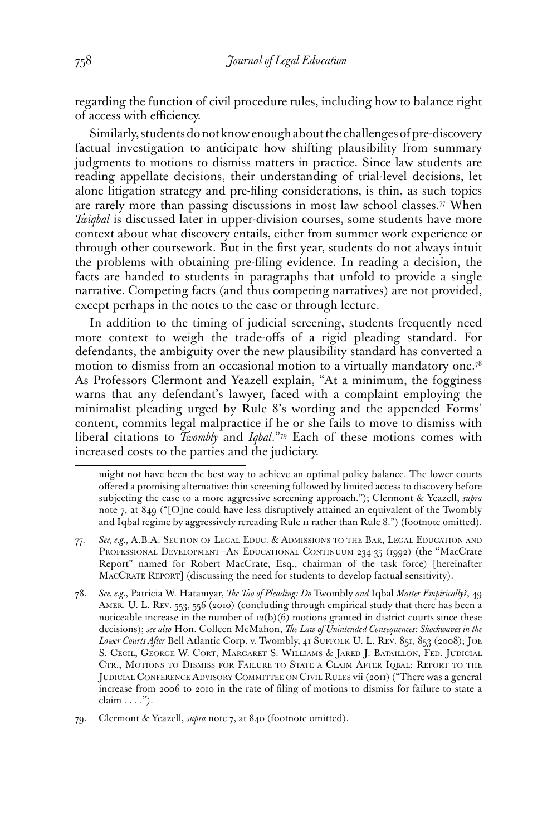regarding the function of civil procedure rules, including how to balance right of access with efficiency.

Similarly, students do not know enough about the challenges of pre-discovery factual investigation to anticipate how shifting plausibility from summary judgments to motions to dismiss matters in practice. Since law students are reading appellate decisions, their understanding of trial-level decisions, let alone litigation strategy and pre-fling considerations, is thin, as such topics are rarely more than passing discussions in most law school [classes.77](https://classes.77) When *Twiqbal* is discussed later in upper-division courses, some students have more context about what discovery entails, either from summer work experience or through other coursework. But in the frst year, students do not always intuit the problems with obtaining pre-fling evidence. In reading a decision, the facts are handed to students in paragraphs that unfold to provide a single narrative. Competing facts (and thus competing narratives) are not provided, except perhaps in the notes to the case or through lecture.

In addition to the timing of judicial screening, students frequently need more context to weigh the trade-ofs of a rigid pleading standard. For defendants, the ambiguity over the new plausibility standard has converted a motion to dismiss from an occasional motion to a virtually mandatory one.78 As Professors Clermont and Yeazell explain, "At a minimum, the fogginess warns that any defendant's lawyer, faced with a complaint employing the minimalist pleading urged by Rule 8's wording and the appended Forms' content, commits legal malpractice if he or she fails to move to dismiss with liberal citations to *Twombly* and *Iqbal*."79 Each of these motions comes with increased costs to the parties and the judiciary.

might not have been the best way to achieve an optimal policy balance. The lower courts ofered a promising alternative: thin screening followed by limited access to discovery before subjecting the case to a more aggressive screening approach."); Clermont & Yeazell, *supra*  note 7, at 849 ("[O]ne could have less disruptively attained an equivalent of the Twombly and Iqbal regime by aggressively rereading Rule 11 rather than Rule 8.") (footnote omitted).

 77. *See, e.g.*, A.B.A. SECTION OF LEGAL EDUC. & ADMISSIONS TO THE BAR, LEGAL EDUCATION AND PROFESSIONAL DEVELOPMENT—AN EDUCATIONAL CONTINUUM 234-35 (1992) (the "MacCrate Report" named for Robert MacCrate, Esq., chairman of the task force) [hereinafter MACCRATE REPORT] (discussing the need for students to develop factual sensitivity).

 S. CECIL, GEORGE W. CORT, MARGARET S. WILLIAMS & JARED J. BATAILLON, FED. JUDICIAL CTR., MOTIONS TO DISMISS FOR FAILURE TO STATE A CLAIM AFTER IQBAL: REPORT TO THE JUDICIAL CONFERENCE ADVISORY COMMITTEE ON CIVIL RULES vii (2011) ("There was a general 78. *See, e.g.*, Patricia W. Hatamyar, *The Tao of Pleading: Do* Twombly *and* Iqbal *Matter Empirically?*, 49 AMER. U. L. REV. 553, 556 (2010) (concluding through empirical study that there has been a noticeable increase in the number of  $12(b)(6)$  motions granted in district courts since these decisions); *see also* Hon. Colleen McMahon, *The Law of Unintended Consequences: Shockwaves in the Lower Courts After* Bell Atlantic Corp. v. Twombly, 41 SUFFOLK U. L. REV. 851, 853 (2008); JOE increase from 2006 to 2010 in the rate of fling of motions to dismiss for failure to state a claim . . . .").

<sup>79.</sup> Clermont & Yeazell, *supra* note 7, at 840 (footnote omitted).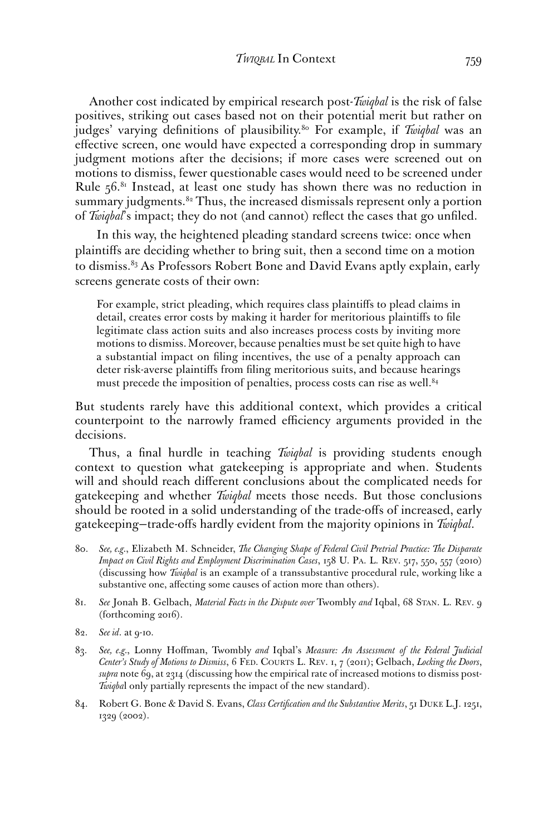Another cost indicated by empirical research post-*Twiqbal* is the risk of false positives, striking out cases based not on their potential merit but rather on judges' varying defnitions of [plausibility.80](https://plausibility.80) For example, if *Twiqbal* was an efective screen, one would have expected a corresponding drop in summary judgment motions after the decisions; if more cases were screened out on motions to dismiss, fewer questionable cases would need to be screened under Rule  $56.81$  Instead, at least one study has shown there was no reduction in summary judgments.<sup>82</sup> Thus, the increased dismissals represent only a portion of *Twiqbal*'s impact; they do not (and cannot) refect the cases that go unfled.

In this way, the heightened pleading standard screens twice: once when plaintifs are deciding whether to bring suit, then a second time on a motion to dismiss.<sup>83</sup> As Professors Robert Bone and David Evans aptly explain, early screens generate costs of their own:

For example, strict pleading, which requires class plaintifs to plead claims in detail, creates error costs by making it harder for meritorious plaintifs to fle legitimate class action suits and also increases process costs by inviting more motions to dismiss.Moreover, because penalties must be set quite high to have a substantial impact on fling incentives, the use of a penalty approach can deter risk-averse plaintifs from fling meritorious suits, and because hearings must precede the imposition of penalties, process costs can rise as well.<sup>84</sup>

But students rarely have this additional context, which provides a critical counterpoint to the narrowly framed efficiency arguments provided in the decisions.

Thus, a fnal hurdle in teaching *Twiqbal* is providing students enough context to question what gatekeeping is appropriate and when. Students will and should reach diferent conclusions about the complicated needs for gatekeeping and whether *Twiqbal* meets those needs. But those conclusions should be rooted in a solid understanding of the trade-ofs of increased, early gatekeeping—trade-ofs hardly evident from the majority opinions in *Twiqbal*.

- 80. *See, e.g.*, Elizabeth M. Schneider, *The Changing Shape of Federal Civil Pretrial Practice: The Disparate Impact on Civil Rights and Employment Discrimination Cases*, 158 U. PA. L. REV. 517, 550, 557 (2010) (discussing how *Twiqbal* is an example of a transsubstantive procedural rule, working like a substantive one, affecting some causes of action more than others).
- 81. *See* Jonah B. Gelbach, *Material Facts in the Dispute over* Twombly *and* Iqbal, 68 STAN. L. REV. 9 (forthcoming 2016).
- 82. *See id*. at 9-10.
- 83. *See, e.g.*, Lonny Hofman, Twombly *and* Iqbal's *Measure: An Assessment of the Federal Judicial Center's Study of Motions to Dismiss*, 6 FED. COURTS L. REV. 1, 7 (2011); Gelbach, *Locking the Doors*, *supra* note 69, at 2314 (discussing how the empirical rate of increased motions to dismiss post-*Twiqba*l only partially represents the impact of the new standard).
- 84. Robert G. Bone & David S. Evans, *Class Certifcation and the Substantive Merits*, 51 DUKE L.J. 1251, 1329 (2002).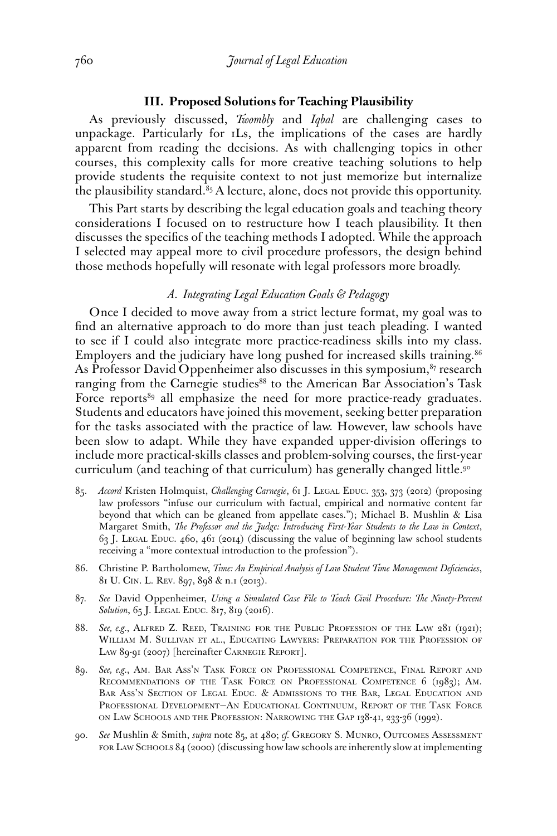#### **III. Proposed Solutions for Teaching Plausibility**

As previously discussed, *Twombly* and *Iqbal* are challenging cases to unpackage. Particularly for 1Ls, the implications of the cases are hardly apparent from reading the decisions. As with challenging topics in other courses, this complexity calls for more creative teaching solutions to help provide students the requisite context to not just memorize but internalize the plausibility standard. $85$  A lecture, alone, does not provide this opportunity.

This Part starts by describing the legal education goals and teaching theory considerations I focused on to restructure how I teach plausibility. It then discusses the specifcs of the teaching methods I adopted. While the approach I selected may appeal more to civil procedure professors, the design behind those methods hopefully will resonate with legal professors more broadly.

#### *A. Integrating Legal Education Goals & Pedagogy*

Once I decided to move away from a strict lecture format, my goal was to fnd an alternative approach to do more than just teach pleading. I wanted to see if I could also integrate more practice-readiness skills into my class. Employers and the judiciary have long pushed for increased skills training.<sup>86</sup> As Professor David Oppenheimer also discusses in this symposium, $87$  research ranging from the Carnegie studies<sup>88</sup> to the American Bar Association's Task Force reports<sup>89</sup> all emphasize the need for more practice-ready graduates. Students and educators have joined this movement, seeking better preparation for the tasks associated with the practice of law. However, law schools have been slow to adapt. While they have expanded upper-division oferings to include more practical-skills classes and problem-solving courses, the frst-year curriculum (and teaching of that curriculum) has generally changed little.<sup>90</sup>

- 85. *Accord* Kristen Holmquist, *Challenging Carnegie*, 61 J. LEGAL EDUC. 353, 373 (2012) (proposing law professors "infuse our curriculum with factual, empirical and normative content far beyond that which can be gleaned from appellate cases."); Michael B. Mushlin & Lisa Margaret Smith, *The Professor and the Judge: Introducing First-Year Students to the Law in Context*, 63 J. LEGAL EDUC. 460, 461 (2014) (discussing the value of beginning law school students receiving a "more contextual introduction to the profession").
- 86. Christine P. Bartholomew, *Time: An Empirical Analysis of Law Student Time Management Defciencies*, 81 U. CIN. L. REV. 897, 898 & n.1 (2013).
- 87. *See* David Oppenheimer, *Using a Simulated Case File to Teach Civil Procedure: The Ninety-Percent Solution*, 65 J. LEGAL EDUC. 817, 819 (2016).
- 88. *See, e.g.*, ALFRED Z. REED, TRAINING FOR THE PUBLIC PROFESSION OF THE LAW 281 (1921); WILLIAM M. SULLIVAN ET AL., EDUCATING LAWYERS: PREPARATION FOR THE PROFESSION OF LAW 89-91 (2007) [hereinafter CARNEGIE REPORT].
- 89. *See, e.g.*, AM. BAR ASS'N TASK FORCE ON PROFESSIONAL COMPETENCE, FINAL REPORT AND RECOMMENDATIONS OF THE TASK FORCE ON PROFESSIONAL COMPETENCE 6 (1983); AM. BAR ASS'N SECTION OF LEGAL EDUC. & ADMISSIONS TO THE BAR, LEGAL EDUCATION AND PROFESSIONAL DEVELOPMENT—AN EDUCATIONAL CONTINUUM, REPORT OF THE TASK FORCE ON LAW SCHOOLS AND THE PROFESSION: NARROWING THE GAP 138-41, 233-36 (1992).
- FOR LAW SCHOOLS 84 (2000) (discussing how law schools are inherently slow at implementing 90. *See* Mushlin & Smith, *supra* note 85, at 480; *cf.* GREGORY S. MUNRO, OUTCOMES ASSESSMENT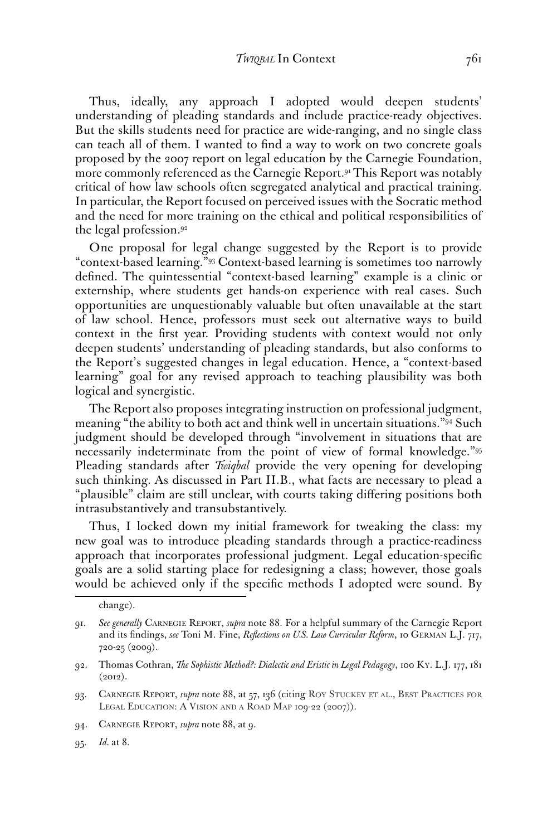Thus, ideally, any approach I adopted would deepen students' understanding of pleading standards and include practice-ready objectives. But the skills students need for practice are wide-ranging, and no single class can teach all of them. I wanted to fnd a way to work on two concrete goals proposed by the 2007 report on legal education by the Carnegie Foundation, more commonly referenced as the Carnegie Report.<sup>91</sup> This Report was notably critical of how law schools often segregated analytical and practical training. In particular, the Report focused on perceived issues with the Socratic method and the need for more training on the ethical and political responsibilities of the legal [profession.92](https://profession.92) 

One proposal for legal change suggested by the Report is to provide "context-based learning."93 Context-based learning is sometimes too narrowly defned. The quintessential "context-based learning" example is a clinic or externship, where students get hands-on experience with real cases. Such opportunities are unquestionably valuable but often unavailable at the start of law school. Hence, professors must seek out alternative ways to build context in the frst year. Providing students with context would not only deepen students' understanding of pleading standards, but also conforms to the Report's suggested changes in legal education. Hence, a "context-based learning" goal for any revised approach to teaching plausibility was both logical and synergistic.

The Report also proposes integrating instruction on professional judgment, meaning "the ability to both act and think well in uncertain situations."94 Such judgment should be developed through "involvement in situations that are necessarily indeterminate from the point of view of formal knowledge."<sup>95</sup> Pleading standards after *Twiqbal* provide the very opening for developing such thinking. As discussed in Part II.B., what facts are necessary to plead a "plausible" claim are still unclear, with courts taking difering positions both intrasubstantively and transubstantively.

Thus, I locked down my initial framework for tweaking the class: my new goal was to introduce pleading standards through a practice-readiness approach that incorporates professional judgment. Legal education-specifc goals are a solid starting place for redesigning a class; however, those goals would be achieved only if the specifc methods I adopted were sound. By

change).

<sup>91.</sup> *See generally* CARNEGIE REPORT, *supra* note 88. For a helpful summary of the Carnegie Report and its fndings, *see* Toni M. Fine, *Refections on U.S. Law Curricular Reform*, 10 GERMAN L.J. 717, 720-25 (2009).

<sup>92.</sup> Thomas Cothran, *The Sophistic Method?: Dialectic and Eristic in Legal Pedagogy*, 100 KY. L.J. 177, 181  $(2012).$ 

 93. CARNEGIE REPORT, *supra* note 88, at 57, 136 (citing ROY STUCKEY ET AL., BEST PRACTICES FOR LEGAL EDUCATION: A VISION AND A ROAD MAP 109-22 (2007)).

<sup>94.</sup> CARNEGIE REPORT, *supra* note 88, at 9.

<sup>95.</sup> *Id.* at 8.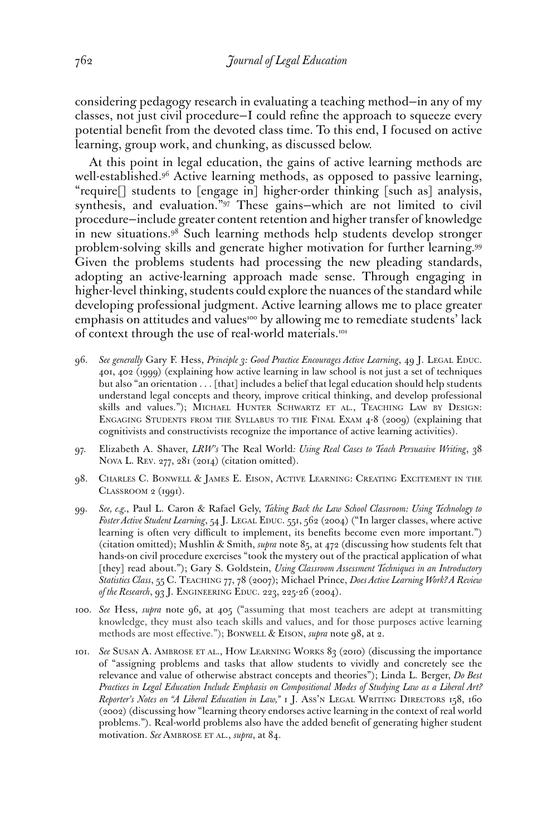considering pedagogy research in evaluating a teaching method—in any of my classes, not just civil procedure—I could refne the approach to squeeze every potential beneft from the devoted class time. To this end, I focused on active learning, group work, and chunking, as discussed below.

At this point in legal education, the gains of active learning methods are [well-established.96](https://well-established.96) Active learning methods, as opposed to passive learning, "require[] students to [engage in] higher-order thinking [such as] analysis, synthesis, and evaluation."97 These gains—which are not limited to civil procedure—include greater content retention and higher transfer of knowledge in new situations.<sup>98</sup> Such learning methods help students develop stronger problem-solving skills and generate higher motivation for further [learning.99](https://learning.99) Given the problems students had processing the new pleading standards, adopting an active-learning approach made sense. Through engaging in higher-level thinking, students could explore the nuances of the standard while developing professional judgment. Active learning allows me to place greater emphasis on attitudes and values<sup>100</sup> by allowing me to remediate students' lack of context through the use of real-world materials.<sup>101</sup>

- skills and values."); MICHAEL HUNTER SCHWARTZ ET AL., TEACHING LAW BY DESIGN: ENGAGING STUDENTS FROM THE SYLLABUS TO THE FINAL EXAM 4-8 (2009) (explaining that 96. *See generally* Gary F. Hess, *Principle 3: Good Practice Encourages Active Learning*, 49 J. LEGAL EDUC. 401, 402 (1999) (explaining how active learning in law school is not just a set of techniques but also "an orientation . . . [that] includes a belief that legal education should help students understand legal concepts and theory, improve critical thinking, and develop professional cognitivists and constructivists recognize the importance of active learning activities).
- 97. Elizabeth A. Shaver, *LRW's* The Real World*: Using Real Cases to Teach Persuasive Writing*, 38 NOVA L. REV. 277, 281 (2014) (citation omitted).
- 98. CHARLES C. BONWELL & JAMES E. EISON, ACTIVE LEARNING: CREATING EXCITEMENT IN THE CLASSROOM 2 (1991).
- 99. *See, e.g.*, Paul L. Caron & Rafael Gely, *Taking Back the Law School Classroom: Using Technology to Foster Active Student Learning*, 54 J. LEGAL EDUC. 551, 562 (2004) ("In larger classes, where active learning is often very difficult to implement, its benefits become even more important.") (citation omitted); Mushlin & Smith, *supra* note 85, at 472 (discussing how students felt that hands-on civil procedure exercises "took the mystery out of the practical application of what [they] read about."); Gary S. Goldstein, *Using Classroom Assessment Techniques in an Introductory Statistics Class*, 55 C. TEACHING 77, 78 (2007); Michael Prince, *Does Active Learning Work? A Review of the Research*, 93 J. ENGINEERING EDUC. 223, 225-26 (2004).
- 100. *See* Hess, *supra* note 96, at 405 ("assuming that most teachers are adept at transmitting knowledge, they must also teach skills and values, and for those purposes active learning methods are most efective."); BONWELL & EISON, *supra* note 98, at 2.
- 101. *See* SUSAN A. AMBROSE ET AL., HOW LEARNING WORKS 83 (2010) (discussing the importance *Reporter's Notes on "A Liberal Education in Law,"* 1 J. ASS'N LEGAL WRITING DIRECTORS 158, 160 of "assigning problems and tasks that allow students to vividly and concretely see the relevance and value of otherwise abstract concepts and theories"); Linda L. Berger, *Do Best Practices in Legal Education Include Emphasis on Compositional Modes of Studying Law as a Liberal Art?*  (2002) (discussing how "learning theory endorses active learning in the context of real world problems."). Real-world problems also have the added beneft of generating higher student motivation. *See* AMBROSE ET AL., *supra*, at 84.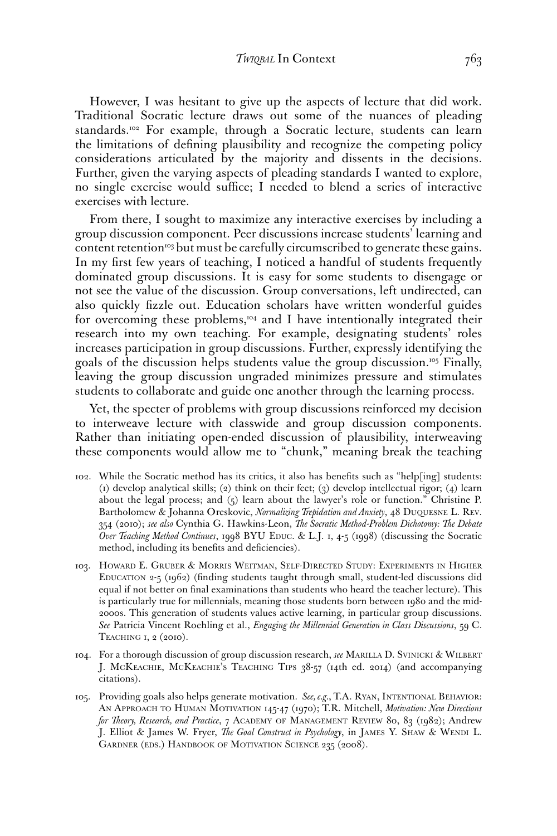However, I was hesitant to give up the aspects of lecture that did work. Traditional Socratic lecture draws out some of the nuances of pleading standards.<sup>102</sup> For example, through a Socratic lecture, students can learn the limitations of defning plausibility and recognize the competing policy considerations articulated by the majority and dissents in the decisions. Further, given the varying aspects of pleading standards I wanted to explore, no single exercise would suffice; I needed to blend a series of interactive exercises with lecture.

From there, I sought to maximize any interactive exercises by including a group discussion component. Peer discussions increase students' learning and content retention<sup>103</sup> but must be carefully circumscribed to generate these gains. In my frst few years of teaching, I noticed a handful of students frequently dominated group discussions. It is easy for some students to disengage or not see the value of the discussion. Group conversations, left undirected, can also quickly fzzle out. Education scholars have written wonderful guides for overcoming these problems,<sup>104</sup> and I have intentionally integrated their research into my own teaching. For example, designating students' roles increases participation in group discussions. Further, expressly identifying the goals of the discussion helps students value the group discussion.105 Finally, leaving the group discussion ungraded minimizes pressure and stimulates students to collaborate and guide one another through the learning process.

Yet, the specter of problems with group discussions reinforced my decision to interweave lecture with classwide and group discussion components. Rather than initiating open-ended discussion of plausibility, interweaving these components would allow me to "chunk," meaning break the teaching

- 102. While the Socratic method has its critics, it also has benefts such as "help[ing] students: (1) develop analytical skills; (2) think on their feet; (3) develop intellectual rigor; (4) learn about the legal process; and (5) learn about the lawyer's role or function." Christine P. Bartholomew & Johanna Oreskovic, *Normalizing Trepidation and Anxiety*, 48 DUQUESNE L. REV. 354 (2010); *see also* Cynthia G. Hawkins-Leon, *The Socratic Method-Problem Dichotomy: The Debate Over Teaching Method Continues*, 1998 BYU EDUC. & L.J. 1, 4-5 (1998) (discussing the Socratic method, including its benefts and defciencies).
- 103. HOWARD E. GRUBER & MORRIS WEITMAN, SELF-DIRECTED STUDY: EXPERIMENTS IN HIGHER EDUCATION 2-5 (1962) (fnding students taught through small, student-led discussions did equal if not better on fnal examinations than students who heard the teacher lecture). This is particularly true for millennials, meaning those students born between 1980 and the mid-2000s. This generation of students values active learning, in particular group discussions. *See* Patricia Vincent Roehling et al., *Engaging the Millennial Generation in Class Discussions*, 59 C. TEACHING 1, 2 (2010).
- 104. For a thorough discussion of group discussion research, *see* MARILLA D. SVINICKI & WILBERT J. MCKEACHIE, MCKEACHIE'S TEACHING TIPS 38-57 (14th ed. 2014) (and accompanying citations).
- AN APPROACH TO HUMAN MOTIVATION 145-47 (1970); T.R. Mitchell, *Motivation: New Directions for Theory, Research, and Practice*, 7 ACADEMY OF MANAGEMENT REVIEW 80, 83 (1982); Andrew J. Elliot & James W. Fryer, *The Goal Construct in Psychology*, in JAMES Y. SHAW & WENDI L. GARDNER (EDS.) HANDBOOK OF MOTIVATION SCIENCE 235 (2008). 105. Providing goals also helps generate motivation. *See, e.g.*, T.A. RYAN, INTENTIONAL BEHAVIOR: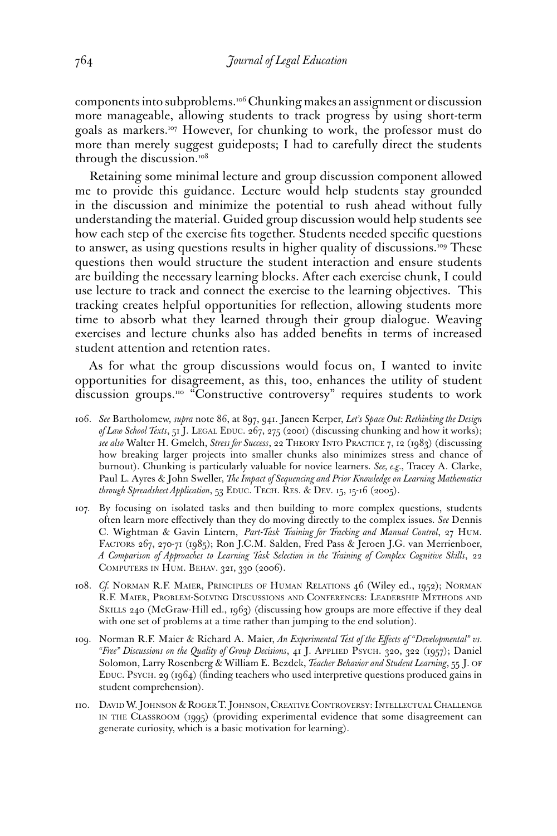components into subproblems.106 Chunking makes an assignment or discussion more manageable, allowing students to track progress by using short-term goals as markers.107 However, for chunking to work, the professor must do more than merely suggest guideposts; I had to carefully direct the students through the discussion.<sup>108</sup>

Retaining some minimal lecture and group discussion component allowed me to provide this guidance. Lecture would help students stay grounded in the discussion and minimize the potential to rush ahead without fully understanding the material. Guided group discussion would help students see how each step of the exercise fts together. Students needed specifc questions to answer, as using questions results in higher quality of discussions.<sup>109</sup> These questions then would structure the student interaction and ensure students are building the necessary learning blocks. After each exercise chunk, I could use lecture to track and connect the exercise to the learning objectives. This tracking creates helpful opportunities for refection, allowing students more time to absorb what they learned through their group dialogue. Weaving exercises and lecture chunks also has added benefts in terms of increased student attention and retention rates.

As for what the group discussions would focus on, I wanted to invite opportunities for disagreement, as this, too, enhances the utility of student discussion groups.<sup>110</sup> "Constructive controversy" requires students to work

- *see also* Walter H. Gmelch, *Stress for Success*, 22 THEORY INTO PRACTICE 7, 12 (1983) (discussing 106. *See* Bartholomew, *supra* note 86, at 897, 941. Janeen Kerper, *Let's Space Out: Rethinking the Design of Law School Texts*, 51 J. LEGAL EDUC. 267, 275 (2001) (discussing chunking and how it works); how breaking larger projects into smaller chunks also minimizes stress and chance of burnout). Chunking is particularly valuable for novice learners. *See, e.g.*, Tracey A. Clarke, Paul L. Ayres & John Sweller, *The Impact of Sequencing and Prior Knowledge on Learning Mathematics through Spreadsheet Application*, 53 EDUC. TECH. RES. & DEV. 15, 15-16 (2005).
- 107. By focusing on isolated tasks and then building to more complex questions, students often learn more efectively than they do moving directly to the complex issues. *See* Dennis C. Wightman & Gavin Lintern, *Part-Task Training for Tracking and Manual Control*, 27 HUM. FACTORS 267, 270-71 (1985); Ron J.C.M. Salden, Fred Pass & Jeroen J.G. van Merrienboer, *A Comparison of Approaches to Learning Task Selection in the Training of Complex Cognitive Skills*, 22 COMPUTERS IN HUM. BEHAV. 321, 330 (2006).
- 108. *Cf.* NORMAN R.F. MAIER, PRINCIPLES OF HUMAN RELATIONS 46 (Wiley ed., 1952); NORMAN R.F. MAIER, PROBLEM-SOLVING DISCUSSIONS AND CONFERENCES: LEADERSHIP METHODS AND SKILLS 240 (McGraw-Hill ed., 1963) (discussing how groups are more efective if they deal with one set of problems at a time rather than jumping to the end solution).
- 109. Norman R.F. Maier & Richard A. Maier, *An Experimental Test of the Efects of "Developmental" vs. "Free" Discussions on the Quality of Group Decisions*, 41 J. APPLIED PSYCH. 320, 322 (1957); Daniel Solomon, Larry Rosenberg & William E. Bezdek, *Teacher Behavior and Student Learning*, 55 J. OF EDUC. PSYCH. 29 (1964) (fnding teachers who used interpretive questions produced gains in student comprehension).
- 110. DAVID W. JOHNSON & ROGER T. JOHNSON, CREATIVE CONTROVERSY: INTELLECTUAL CHALLENGE IN THE CLASSROOM (1995) (providing experimental evidence that some disagreement can generate curiosity, which is a basic motivation for learning).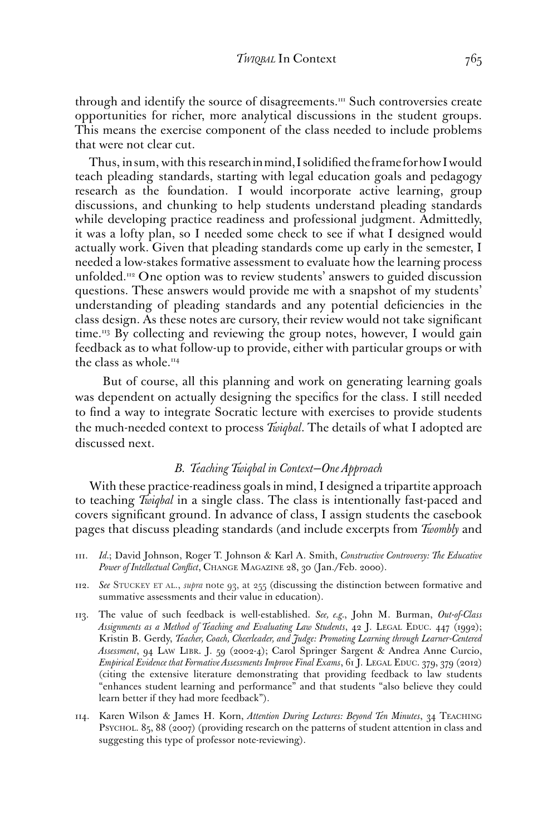through and identify the source of disagreements.<sup>111</sup> Such controversies create opportunities for richer, more analytical discussions in the student groups. This means the exercise component of the class needed to include problems that were not clear cut.

Thus, in sum, with this research in mind, I solidifed the frame for how I would teach pleading standards, starting with legal education goals and pedagogy research as the foundation. I would incorporate active learning, group discussions, and chunking to help students understand pleading standards while developing practice readiness and professional judgment. Admittedly, it was a lofty plan, so I needed some check to see if what I designed would actually work. Given that pleading standards come up early in the semester, I needed a low-stakes formative assessment to evaluate how the learning process unfolded.<sup>112</sup> One option was to review students' answers to guided discussion questions. These answers would provide me with a snapshot of my students' understanding of pleading standards and any potential defciencies in the class design. As these notes are cursory, their review would not take signifcant time.<sup>113</sup> By collecting and reviewing the group notes, however, I would gain feedback as to what follow-up to provide, either with particular groups or with the class as whole.<sup>114</sup>

But of course, all this planning and work on generating learning goals was dependent on actually designing the specifcs for the class. I still needed to fnd a way to integrate Socratic lecture with exercises to provide students the much-needed context to process *Twiqbal*. The details of what I adopted are discussed next.

#### *B. Teaching Twiqbal in Context—One Approach*

With these practice-readiness goals in mind, I designed a tripartite approach to teaching *Twiqbal* in a single class. The class is intentionally fast-paced and covers signifcant ground. In advance of class, I assign students the casebook pages that discuss pleading standards (and include excerpts from *Twombly* and

- 111. *Id.*; David Johnson, Roger T. Johnson & Karl A. Smith, *Constructive Controversy: The Educative Power of Intellectual Confict*, CHANGE MAGAZINE 28, 30 (Jan./Feb. 2000).
- 112. *See* STUCKEY ET AL., *supra* note 93, at 255 (discussing the distinction between formative and summative assessments and their value in education).
- 113. The value of such feedback is well-established. *See, e.g.*, John M. Burman, *Out-of-Class Assignments as a Method of Teaching and Evaluating Law Students*, 42 J. LEGAL EDUC. 447 (1992); Kristin B. Gerdy, *Teacher, Coach, Cheerleader, and Judge: Promoting Learning through Learner-Centered Assessment*, 94 LAW LIBR. J. 59 (2002-4); Carol Springer Sargent & Andrea Anne Curcio, *Empirical Evidence that Formative Assessments Improve Final Exams*, 61 J. LEGAL EDUC. 379, 379 (2012) (citing the extensive literature demonstrating that providing feedback to law students "enhances student learning and performance" and that students "also believe they could learn better if they had more feedback").
- 114. Karen Wilson & James H. Korn, *Attention During Lectures: Beyond Ten Minutes*, 34 TEACHING PSYCHOL. 85, 88 (2007) (providing research on the patterns of student attention in class and suggesting this type of professor note-reviewing).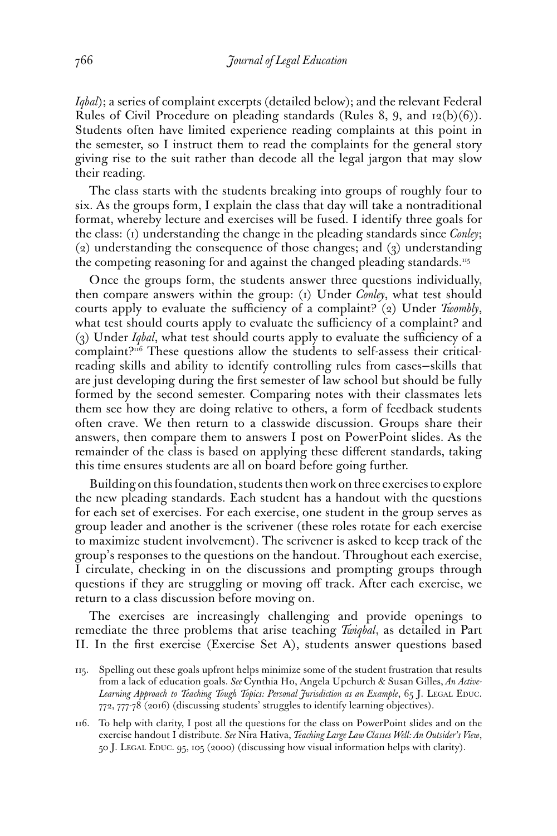*Iqbal*); a series of complaint excerpts (detailed below); and the relevant Federal Rules of Civil Procedure on pleading standards (Rules 8, 9, and 12(b)(6)). Students often have limited experience reading complaints at this point in the semester, so I instruct them to read the complaints for the general story giving rise to the suit rather than decode all the legal jargon that may slow their reading.

The class starts with the students breaking into groups of roughly four to six. As the groups form, I explain the class that day will take a nontraditional format, whereby lecture and exercises will be fused. I identify three goals for the class: (1) understanding the change in the pleading standards since *Conley*;  $(2)$  understanding the consequence of those changes; and  $(3)$  understanding the competing reasoning for and against the changed pleading standards.<sup>115</sup>

Once the groups form, the students answer three questions individually, then compare answers within the group: (1) Under *Conley*, what test should courts apply to evaluate the sufficiency of a complaint? (2) Under *Twombly*, what test should courts apply to evaluate the sufficiency of a complaint? and (3) Under *Igbal*, what test should courts apply to evaluate the sufficiency of a complaint?<sup>116</sup> These questions allow the students to self-assess their criticalreading skills and ability to identify controlling rules from cases—skills that are just developing during the frst semester of law school but should be fully formed by the second semester. Comparing notes with their classmates lets them see how they are doing relative to others, a form of feedback students often crave. We then return to a classwide discussion. Groups share their answers, then compare them to answers I post on PowerPoint slides. As the remainder of the class is based on applying these diferent standards, taking this time ensures students are all on board before going further.

Building on this foundation, students then work on three exercises to explore the new pleading standards. Each student has a handout with the questions for each set of exercises. For each exercise, one student in the group serves as group leader and another is the scrivener (these roles rotate for each exercise to maximize student involvement). The scrivener is asked to keep track of the group's responses to the questions on the handout. Throughout each exercise, I circulate, checking in on the discussions and prompting groups through questions if they are struggling or moving off track. After each exercise, we return to a class discussion before moving on.

The exercises are increasingly challenging and provide openings to remediate the three problems that arise teaching *Twiqbal*, as detailed in Part II. In the frst exercise (Exercise Set A), students answer questions based

<sup>115.</sup> Spelling out these goals upfront helps minimize some of the student frustration that results from a lack of education goals. *See* Cynthia Ho, Angela Upchurch & Susan Gilles, *An Active-Learning Approach to Teaching Tough Topics: Personal Jurisdiction as an Example*, 65 J. LEGAL EDUC. 772, 777-78 (2016) (discussing students' struggles to identify learning objectives).

<sup>116.</sup> To help with clarity, I post all the questions for the class on PowerPoint slides and on the exercise handout I distribute. *See* Nira Hativa, *Teaching Large Law Classes Well: An Outsider's View*, 50 J. LEGAL EDUC. 95, 105 (2000) (discussing how visual information helps with clarity).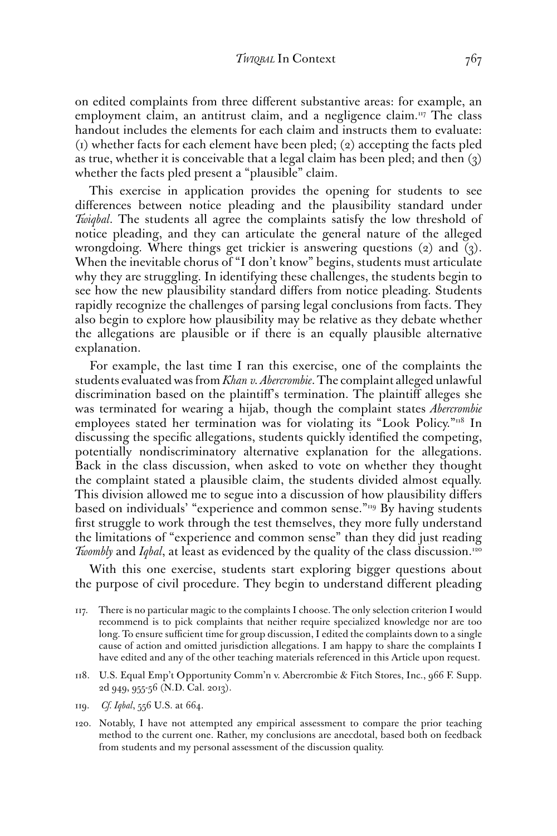on edited complaints from three diferent substantive areas: for example, an employment claim, an antitrust claim, and a negligence claim.<sup>117</sup> The class handout includes the elements for each claim and instructs them to evaluate: (1) whether facts for each element have been pled; (2) accepting the facts pled as true, whether it is conceivable that a legal claim has been pled; and then (3) whether the facts pled present a "plausible" claim.

This exercise in application provides the opening for students to see diferences between notice pleading and the plausibility standard under *Twiqbal*. The students all agree the complaints satisfy the low threshold of notice pleading, and they can articulate the general nature of the alleged wrongdoing. Where things get trickier is answering questions (2) and (3). When the inevitable chorus of "I don't know" begins, students must articulate why they are struggling. In identifying these challenges, the students begin to see how the new plausibility standard difers from notice pleading. Students rapidly recognize the challenges of parsing legal conclusions from facts. They also begin to explore how plausibility may be relative as they debate whether the allegations are plausible or if there is an equally plausible alternative explanation.

For example, the last time I ran this exercise, one of the complaints the students evaluated was from *Khan v. Abercrombie*. The complaint alleged unlawful discrimination based on the plaintif's termination. The plaintif alleges she was terminated for wearing a hijab, though the complaint states *Abercrombie*  employees stated her termination was for violating its "Look Policy."<sup>118</sup> In discussing the specifc allegations, students quickly identifed the competing, potentially nondiscriminatory alternative explanation for the allegations. Back in the class discussion, when asked to vote on whether they thought the complaint stated a plausible claim, the students divided almost equally. This division allowed me to segue into a discussion of how plausibility difers based on individuals' "experience and common sense."<sup>119</sup> By having students frst struggle to work through the test themselves, they more fully understand the limitations of "experience and common sense" than they did just reading *Twombly* and *Iqbal*, at least as evidenced by the quality of the class discussion.<sup>120</sup>

With this one exercise, students start exploring bigger questions about the purpose of civil procedure. They begin to understand diferent pleading

- 117. There is no particular magic to the complaints I choose. The only selection criterion I would recommend is to pick complaints that neither require specialized knowledge nor are too long. To ensure sufficient time for group discussion, I edited the complaints down to a single cause of action and omitted jurisdiction allegations. I am happy to share the complaints I have edited and any of the other teaching materials referenced in this Article upon request.
- 118. U.S. Equal Emp't Opportunity Comm'n v. Abercrombie & Fitch Stores, Inc., 966 F. Supp. 2d 949, 955-56 (N.D. Cal. 2013).
- 119. *Cf. Iqbal*, 556 U.S. at 664.
- 120. Notably, I have not attempted any empirical assessment to compare the prior teaching method to the current one. Rather, my conclusions are anecdotal, based both on feedback from students and my personal assessment of the discussion quality.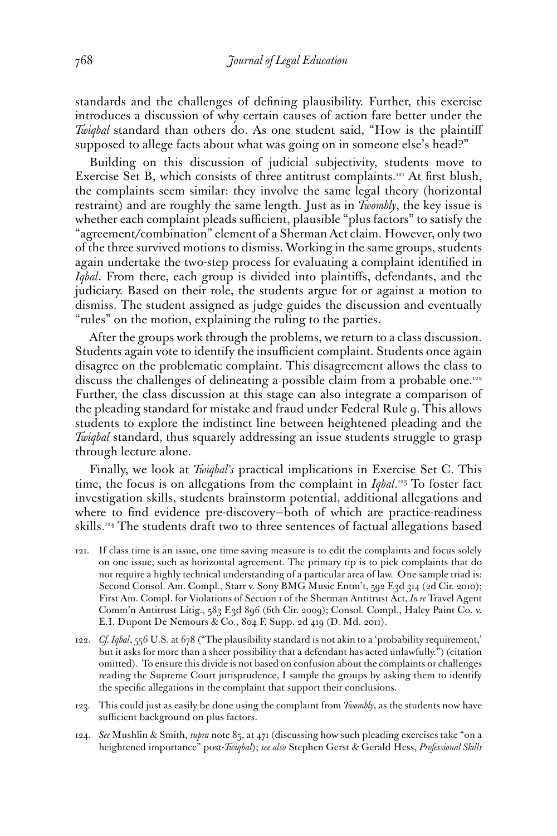standards and the challenges of defning plausibility. Further, this exercise introduces a discussion of why certain causes of action fare better under the *Twiqbal* standard than others do. As one student said, "How is the plaintif supposed to allege facts about what was going on in someone else's head?"

Building on this discussion of judicial subjectivity, students move to Exercise Set B, which consists of three antitrust complaints.<sup>121</sup> At first blush, the complaints seem similar: they involve the same legal theory (horizontal restraint) and are roughly the same length. Just as in *Twombly*, the key issue is whether each complaint pleads sufficient, plausible "plus factors" to satisfy the "agreement/combination" element of a Sherman Act claim. However, only two of the three survived motions to dismiss. Working in the same groups, students again undertake the two-step process for evaluating a complaint identifed in *Iqbal*. From there, each group is divided into plaintifs, defendants, and the judiciary. Based on their role, the students argue for or against a motion to dismiss. The student assigned as judge guides the discussion and eventually "rules" on the motion, explaining the ruling to the parties.

After the groups work through the problems, we return to a class discussion. Students again vote to identify the insufficient complaint. Students once again disagree on the problematic complaint. This disagreement allows the class to discuss the challenges of delineating a possible claim from a probable one.<sup>122</sup> Further, the class discussion at this stage can also integrate a comparison of the pleading standard for mistake and fraud under Federal Rule 9. This allows students to explore the indistinct line between heightened pleading and the *Twiqbal* standard, thus squarely addressing an issue students struggle to grasp through lecture alone.

Finally, we look at *Twiqbal's* practical implications in Exercise Set C. This time, the focus is on allegations from the complaint in *Iqbal*.<sup>123</sup> To foster fact investigation skills, students brainstorm potential, additional allegations and where to fnd evidence pre-discovery—both of which are practice-readiness skills.124 The students draft two to three sentences of factual allegations based

- 121. If class time is an issue, one time-saving measure is to edit the complaints and focus solely on one issue, such as horizontal agreement. The primary tip is to pick complaints that do not require a highly technical understanding of a particular area of law. One sample triad is: Second Consol. Am. Compl., Starr v. Sony BMG Music Entm't, 592 F.3d 314 (2d Cir. 2010); First Am. Compl. for Violations of Section 1 of the Sherman Antitrust Act, *In re* Travel Agent Comm'n Antitrust Litig., 583 F.3d 896 (6th Cir. 2009); Consol. Compl., Haley Paint Co. v. E.I. Dupont De Nemours & Co., 804 F. Supp. 2d 419 (D. Md. 2011).
- 122. *Cf. Iqbal*, 556 U.S. at 678 ("The plausibility standard is not akin to a 'probability requirement,' but it asks for more than a sheer possibility that a defendant has acted unlawfully.") (citation omitted). To ensure this divide is not based on confusion about the complaints or challenges reading the Supreme Court jurisprudence, I sample the groups by asking them to identify the specifc allegations in the complaint that support their conclusions.
- 123. This could just as easily be done using the complaint from *Twombly*, as the students now have sufficient background on plus factors.
- 124. *See* Mushlin & Smith, *supra* note 85, at 471 (discussing how such pleading exercises take "on a heightened importance" post-*Twiqbal*); *see also* Stephen Gerst & Gerald Hess, *Professional Skills*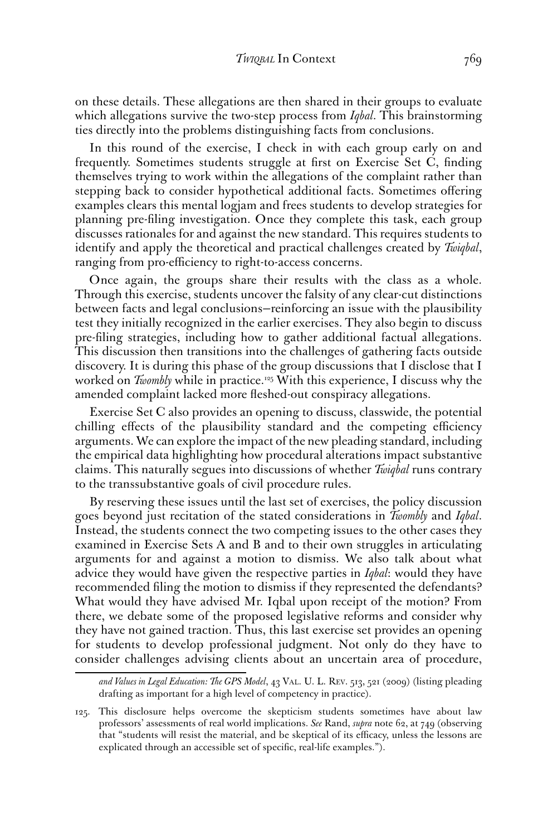on these details. These allegations are then shared in their groups to evaluate which allegations survive the two-step process from *Iqbal*. This brainstorming ties directly into the problems distinguishing facts from conclusions.

In this round of the exercise, I check in with each group early on and frequently. Sometimes students struggle at frst on Exercise Set C, fnding themselves trying to work within the allegations of the complaint rather than stepping back to consider hypothetical additional facts. Sometimes ofering examples clears this mental logjam and frees students to develop strategies for planning pre-fling investigation. Once they complete this task, each group discusses rationales for and against the new standard. This requires students to identify and apply the theoretical and practical challenges created by *Twiqbal*, ranging from pro-efficiency to right-to-access concerns.

Once again, the groups share their results with the class as a whole. Through this exercise, students uncover the falsity of any clear-cut distinctions between facts and legal conclusions—reinforcing an issue with the plausibility test they initially recognized in the earlier exercises. They also begin to discuss pre-fling strategies, including how to gather additional factual allegations. This discussion then transitions into the challenges of gathering facts outside discovery. It is during this phase of the group discussions that I disclose that I worked on *Twombly* while in practice.<sup>125</sup> With this experience, I discuss why the amended complaint lacked more feshed-out conspiracy allegations.

Exercise Set C also provides an opening to discuss, classwide, the potential chilling effects of the plausibility standard and the competing efficiency arguments. We can explore the impact of the new pleading standard, including the empirical data highlighting how procedural alterations impact substantive claims. This naturally segues into discussions of whether *Twiqbal* runs contrary to the transsubstantive goals of civil procedure rules.

By reserving these issues until the last set of exercises, the policy discussion goes beyond just recitation of the stated considerations in *Twombly* and *Iqbal*. Instead, the students connect the two competing issues to the other cases they examined in Exercise Sets A and B and to their own struggles in articulating arguments for and against a motion to dismiss. We also talk about what advice they would have given the respective parties in *Iqbal*: would they have recommended fling the motion to dismiss if they represented the defendants? What would they have advised Mr. Iqbal upon receipt of the motion? From there, we debate some of the proposed legislative reforms and consider why they have not gained traction. Thus, this last exercise set provides an opening for students to develop professional judgment. Not only do they have to consider challenges advising clients about an uncertain area of procedure,

*and Values in Legal Education: The GPS Model*, 43 VAL. U. L. REV. 513, 521 (2009) (listing pleading drafting as important for a high level of competency in practice).

<sup>125.</sup> This disclosure helps overcome the skepticism students sometimes have about law professors' assessments of real world implications. *See* Rand, *supra* note 62, at 749 (observing that "students will resist the material, and be skeptical of its efficacy, unless the lessons are explicated through an accessible set of specifc, real-life examples.").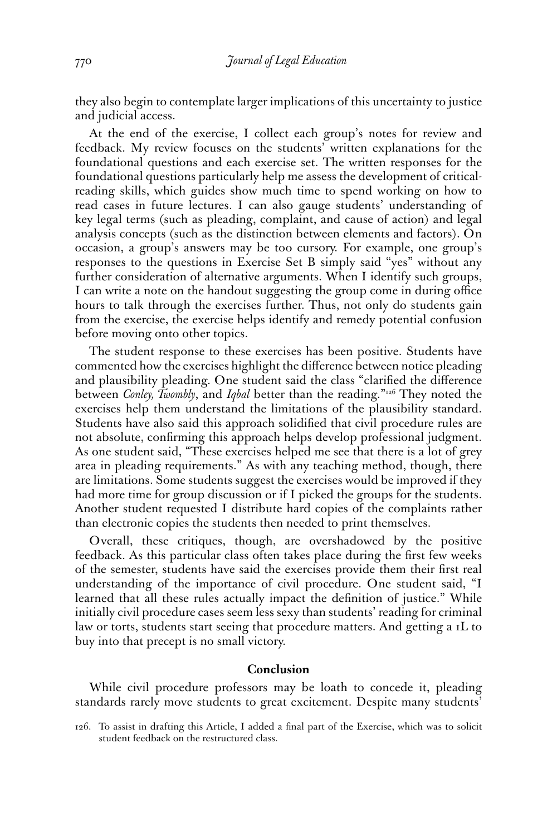they also begin to contemplate larger implications of this uncertainty to justice and judicial access.

At the end of the exercise, I collect each group's notes for review and feedback. My review focuses on the students' written explanations for the foundational questions and each exercise set. The written responses for the foundational questions particularly help me assess the development of criticalreading skills, which guides show much time to spend working on how to read cases in future lectures. I can also gauge students' understanding of key legal terms (such as pleading, complaint, and cause of action) and legal analysis concepts (such as the distinction between elements and factors). On occasion, a group's answers may be too cursory. For example, one group's responses to the questions in Exercise Set B simply said "yes" without any further consideration of alternative arguments. When I identify such groups, I can write a note on the handout suggesting the group come in during office hours to talk through the exercises further. Thus, not only do students gain from the exercise, the exercise helps identify and remedy potential confusion before moving onto other topics.

The student response to these exercises has been positive. Students have commented how the exercises highlight the diference between notice pleading and plausibility pleading. One student said the class "clarifed the diference between *Conley, Twombly*, and *Iqbal* better than the reading."126 They noted the exercises help them understand the limitations of the plausibility standard. Students have also said this approach solidifed that civil procedure rules are not absolute, confrming this approach helps develop professional judgment. As one student said, "These exercises helped me see that there is a lot of grey area in pleading requirements." As with any teaching method, though, there are limitations. Some students suggest the exercises would be improved if they had more time for group discussion or if I picked the groups for the students. Another student requested I distribute hard copies of the complaints rather than electronic copies the students then needed to print themselves.

Overall, these critiques, though, are overshadowed by the positive feedback. As this particular class often takes place during the frst few weeks of the semester, students have said the exercises provide them their frst real understanding of the importance of civil procedure. One student said, "I learned that all these rules actually impact the defnition of justice." While initially civil procedure cases seem less sexy than students' reading for criminal law or torts, students start seeing that procedure matters. And getting a 1L to buy into that precept is no small victory.

#### **Conclusion**

While civil procedure professors may be loath to concede it, pleading standards rarely move students to great excitement. Despite many students'

<sup>126.</sup> To assist in drafting this Article, I added a fnal part of the Exercise, which was to solicit student feedback on the restructured class.